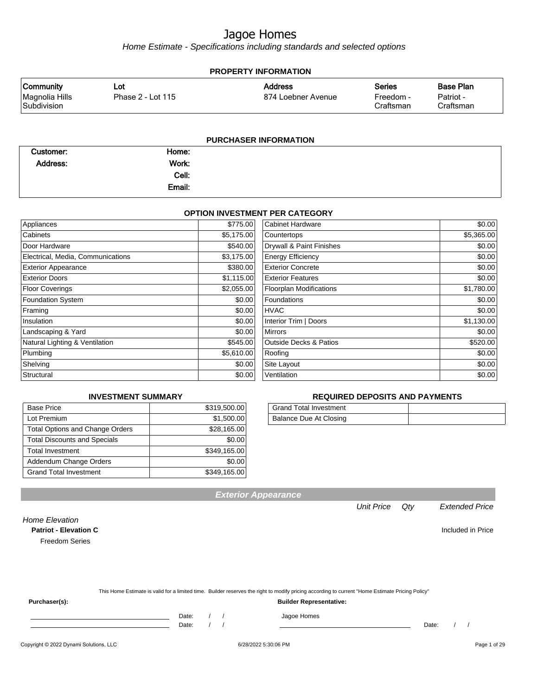Home Estimate - Specifications including standards and selected options

| <b>PROPERTY INFORMATION</b>                       |                          |                                      |                                         |                                            |  |
|---------------------------------------------------|--------------------------|--------------------------------------|-----------------------------------------|--------------------------------------------|--|
| <b>Community</b><br>Magnolia Hills<br>Subdivision | Lot<br>Phase 2 - Lot 115 | <b>Address</b><br>874 Loebner Avenue | <b>Series</b><br>Freedom -<br>Craftsman | <b>Base Plan</b><br>Patriot -<br>Craftsman |  |
|                                                   |                          | <b>PURCHASER INFORMATION</b>         |                                         |                                            |  |

| Customer: | Home:  |  |  |
|-----------|--------|--|--|
| Address:  | Work:  |  |  |
|           | Cell:  |  |  |
|           | Email: |  |  |

#### **OPTION INVESTMENT PER CATEGORY**

| Appliances                        | \$775.00   | Cabinet Hardware                  | \$0.00     |
|-----------------------------------|------------|-----------------------------------|------------|
| Cabinets                          | \$5,175.00 | Countertops                       | \$5,365.00 |
| Door Hardware                     | \$540.00   | Drywall & Paint Finishes          | \$0.00     |
| Electrical, Media, Communications | \$3,175.00 | <b>Energy Efficiency</b>          | \$0.00     |
| <b>Exterior Appearance</b>        | \$380.00   | <b>Exterior Concrete</b>          | \$0.00     |
| <b>Exterior Doors</b>             | \$1,115.00 | <b>Exterior Features</b>          | \$0.00     |
| <b>Floor Coverings</b>            | \$2,055.00 | <b>Floorplan Modifications</b>    | \$1,780.00 |
| <b>Foundation System</b>          | \$0.00     | Foundations                       | \$0.00     |
| Framing                           | \$0.00     | <b>HVAC</b>                       | \$0.00     |
| Insulation                        | \$0.00     | Interior Trim   Doors             | \$1,130.00 |
| Landscaping & Yard                | \$0.00     | Mirrors                           | \$0.00     |
| Natural Lighting & Ventilation    | \$545.00   | <b>Outside Decks &amp; Patios</b> | \$520.00   |
| Plumbing                          | \$5,610.00 | Roofing                           | \$0.00     |
| Shelving                          | \$0.00     | Site Layout                       | \$0.00     |
| Structural                        | \$0.00     | Ventilation                       | \$0.00     |

#### **INVESTMENT SUMMARY**

| <b>Base Price</b>                      | \$319,500.00 |
|----------------------------------------|--------------|
| Lot Premium                            | \$1,500.00   |
| <b>Total Options and Change Orders</b> | \$28,165.00  |
| <b>Total Discounts and Specials</b>    | \$0.00       |
| <b>Total Investment</b>                | \$349,165.00 |
| Addendum Change Orders                 | \$0.00       |
| <b>Grand Total Investment</b>          | \$349,165.00 |

#### **REQUIRED DEPOSITS AND PAYMENTS**

| <b>Grand Total Investment</b> |  |
|-------------------------------|--|
| Balance Due At Closing        |  |

| <b>Exterior Appearance</b> |  |
|----------------------------|--|
|                            |  |
|                            |  |

#### Unit Price Qty Extended Price

Home Elevation **Patriot - Elevation C** Included in Price Freedom Series

|               | This Home Estimate is valid for a limited time. Builder reserves the right to modify pricing according to current "Home Estimate Pricing Policy" |
|---------------|--------------------------------------------------------------------------------------------------------------------------------------------------|
| Purchaser(s): | <b>Builder Representative:</b>                                                                                                                   |

Date: / / Jagoe Homes<br>Date: / / Jagoe Homes

Copyright © 2022 Dynami Solutions, LLC <br>
6/28/2022 5:30:06 PM Page 1 of 29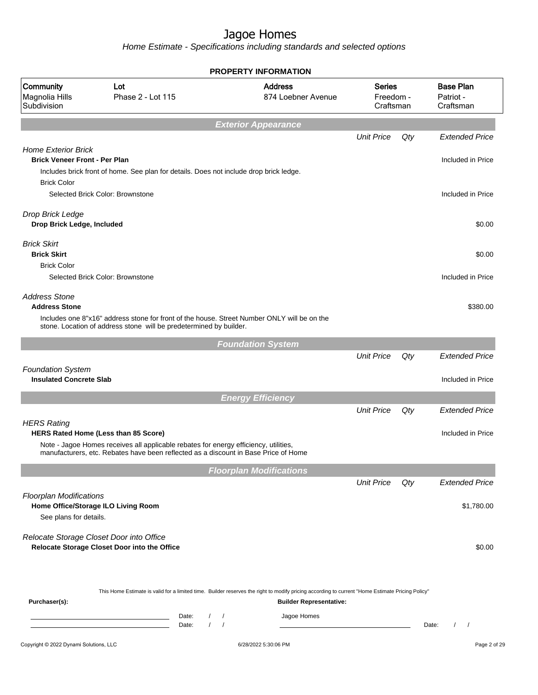|                                                                    |                                                                                                                                                                             |                                                      | <b>PROPERTY INFORMATION</b>                                                                                                                                                        |                                         |     |                                            |
|--------------------------------------------------------------------|-----------------------------------------------------------------------------------------------------------------------------------------------------------------------------|------------------------------------------------------|------------------------------------------------------------------------------------------------------------------------------------------------------------------------------------|-----------------------------------------|-----|--------------------------------------------|
| Community<br>Magnolia Hills<br>Subdivision                         | Lot<br>Phase 2 - Lot 115                                                                                                                                                    |                                                      | <b>Address</b><br>874 Loebner Avenue                                                                                                                                               | <b>Series</b><br>Freedom -<br>Craftsman |     | <b>Base Plan</b><br>Patriot -<br>Craftsman |
|                                                                    |                                                                                                                                                                             |                                                      | <b>Exterior Appearance</b>                                                                                                                                                         |                                         |     |                                            |
|                                                                    |                                                                                                                                                                             |                                                      |                                                                                                                                                                                    | <b>Unit Price</b>                       | Qty | <b>Extended Price</b>                      |
| <b>Home Exterior Brick</b><br><b>Brick Veneer Front - Per Plan</b> | Includes brick front of home. See plan for details. Does not include drop brick ledge.                                                                                      |                                                      |                                                                                                                                                                                    |                                         |     | Included in Price                          |
| <b>Brick Color</b>                                                 | Selected Brick Color: Brownstone                                                                                                                                            |                                                      |                                                                                                                                                                                    |                                         |     | Included in Price                          |
| Drop Brick Ledge<br>Drop Brick Ledge, Included                     |                                                                                                                                                                             |                                                      |                                                                                                                                                                                    |                                         |     | \$0.00                                     |
| <b>Brick Skirt</b><br><b>Brick Skirt</b>                           |                                                                                                                                                                             |                                                      |                                                                                                                                                                                    |                                         |     | \$0.00                                     |
| <b>Brick Color</b>                                                 | Selected Brick Color: Brownstone                                                                                                                                            |                                                      |                                                                                                                                                                                    |                                         |     | Included in Price                          |
| <b>Address Stone</b><br><b>Address Stone</b>                       |                                                                                                                                                                             |                                                      |                                                                                                                                                                                    |                                         |     | \$380.00                                   |
|                                                                    | stone. Location of address stone will be predetermined by builder.                                                                                                          |                                                      | Includes one 8"x16" address stone for front of the house. Street Number ONLY will be on the                                                                                        |                                         |     |                                            |
|                                                                    |                                                                                                                                                                             |                                                      | <b>Foundation System</b>                                                                                                                                                           |                                         |     |                                            |
|                                                                    |                                                                                                                                                                             |                                                      |                                                                                                                                                                                    | <b>Unit Price</b>                       | Qty | <b>Extended Price</b>                      |
| <b>Foundation System</b><br><b>Insulated Concrete Slab</b>         |                                                                                                                                                                             |                                                      |                                                                                                                                                                                    |                                         |     | Included in Price                          |
|                                                                    |                                                                                                                                                                             |                                                      | <b>Energy Efficiency</b>                                                                                                                                                           |                                         |     |                                            |
|                                                                    |                                                                                                                                                                             |                                                      |                                                                                                                                                                                    | <b>Unit Price</b>                       | Qty | <b>Extended Price</b>                      |
| <b>HERS Rating</b>                                                 | HERS Rated Home (Less than 85 Score)                                                                                                                                        |                                                      |                                                                                                                                                                                    |                                         |     | Included in Price                          |
|                                                                    | Note - Jagoe Homes receives all applicable rebates for energy efficiency, utilities,<br>manufacturers, etc. Rebates have been reflected as a discount in Base Price of Home |                                                      |                                                                                                                                                                                    |                                         |     |                                            |
|                                                                    |                                                                                                                                                                             |                                                      | <b>Floorplan Modifications</b>                                                                                                                                                     |                                         |     |                                            |
|                                                                    |                                                                                                                                                                             |                                                      |                                                                                                                                                                                    | <b>Unit Price</b>                       | Qty | <b>Extended Price</b>                      |
| <b>Floorplan Modifications</b><br>See plans for details.           | Home Office/Storage ILO Living Room                                                                                                                                         |                                                      |                                                                                                                                                                                    |                                         |     | \$1,780.00                                 |
|                                                                    | Relocate Storage Closet Door into Office<br>Relocate Storage Closet Door into the Office                                                                                    |                                                      |                                                                                                                                                                                    |                                         |     | \$0.00                                     |
| Purchaser(s):                                                      |                                                                                                                                                                             |                                                      | This Home Estimate is valid for a limited time. Builder reserves the right to modify pricing according to current "Home Estimate Pricing Policy"<br><b>Builder Representative:</b> |                                         |     |                                            |
|                                                                    |                                                                                                                                                                             | Date:<br>$\prime$<br>$\sqrt{2}$<br>$\prime$<br>Date: | Jagoe Homes                                                                                                                                                                        |                                         |     | Date:                                      |
| Copyright © 2022 Dynami Solutions, LLC                             |                                                                                                                                                                             |                                                      | 6/28/2022 5:30:06 PM                                                                                                                                                               |                                         |     | Page 2 of 29                               |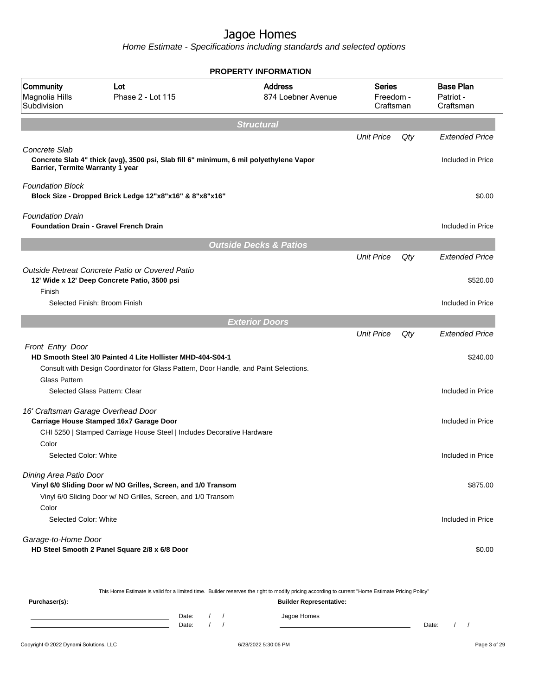Home Estimate - Specifications including standards and selected options

|                                                   |                                                                                                                                                                                      | <b>PROPERTY INFORMATION</b>          |                                         |     |                                                        |
|---------------------------------------------------|--------------------------------------------------------------------------------------------------------------------------------------------------------------------------------------|--------------------------------------|-----------------------------------------|-----|--------------------------------------------------------|
| Community<br>Magnolia Hills<br>Subdivision        | Lot<br>Phase 2 - Lot 115                                                                                                                                                             | <b>Address</b><br>874 Loebner Avenue | <b>Series</b><br>Freedom -<br>Craftsman |     | <b>Base Plan</b><br>Patriot -<br>Craftsman             |
|                                                   |                                                                                                                                                                                      | <b>Structural</b>                    |                                         |     |                                                        |
|                                                   |                                                                                                                                                                                      |                                      | <b>Unit Price</b>                       | Qty | <b>Extended Price</b>                                  |
| Concrete Slab<br>Barrier, Termite Warranty 1 year | Concrete Slab 4" thick (avg), 3500 psi, Slab fill 6" minimum, 6 mil polyethylene Vapor                                                                                               |                                      |                                         |     | Included in Price                                      |
| <b>Foundation Block</b>                           | Block Size - Dropped Brick Ledge 12"x8"x16" & 8"x8"x16"                                                                                                                              |                                      |                                         |     | \$0.00                                                 |
| <b>Foundation Drain</b>                           | <b>Foundation Drain - Gravel French Drain</b>                                                                                                                                        |                                      |                                         |     | Included in Price                                      |
|                                                   |                                                                                                                                                                                      | <b>Outside Decks &amp; Patios</b>    |                                         |     |                                                        |
| Finish                                            | Outside Retreat Concrete Patio or Covered Patio<br>12' Wide x 12' Deep Concrete Patio, 3500 psi                                                                                      |                                      | <b>Unit Price</b>                       | Qty | <b>Extended Price</b><br>\$520.00                      |
|                                                   | Selected Finish: Broom Finish                                                                                                                                                        |                                      |                                         |     | Included in Price                                      |
|                                                   |                                                                                                                                                                                      | <b>Exterior Doors</b>                |                                         |     |                                                        |
| Front Entry Door<br><b>Glass Pattern</b>          | HD Smooth Steel 3/0 Painted 4 Lite Hollister MHD-404-S04-1<br>Consult with Design Coordinator for Glass Pattern, Door Handle, and Paint Selections.<br>Selected Glass Pattern: Clear |                                      | <b>Unit Price</b>                       | Qty | <b>Extended Price</b><br>\$240.00<br>Included in Price |
| 16' Craftsman Garage Overhead Door                | Carriage House Stamped 16x7 Garage Door<br>CHI 5250   Stamped Carriage House Steel   Includes Decorative Hardware                                                                    |                                      |                                         |     | Included in Price                                      |
| Color<br>Selected Color: White                    |                                                                                                                                                                                      |                                      |                                         |     | Included in Price                                      |
| Dining Area Patio Door<br>Color                   | Vinyl 6/0 Sliding Door w/ NO Grilles, Screen, and 1/0 Transom<br>Vinyl 6/0 Sliding Door w/ NO Grilles, Screen, and 1/0 Transom                                                       |                                      |                                         |     | \$875.00                                               |
| Selected Color: White                             |                                                                                                                                                                                      |                                      |                                         |     | Included in Price                                      |
| Garage-to-Home Door                               | HD Steel Smooth 2 Panel Square 2/8 x 6/8 Door                                                                                                                                        |                                      |                                         |     | \$0.00                                                 |

This Home Estimate is valid for a limited time. Builder reserves the right to modify pricing according to current "Home Estimate Pricing Policy"

| Purchaser(s): |                |  | <b>Builder Representative:</b> |       |  |
|---------------|----------------|--|--------------------------------|-------|--|
|               | Date:<br>Date: |  | Jagoe Homes                    | Date: |  |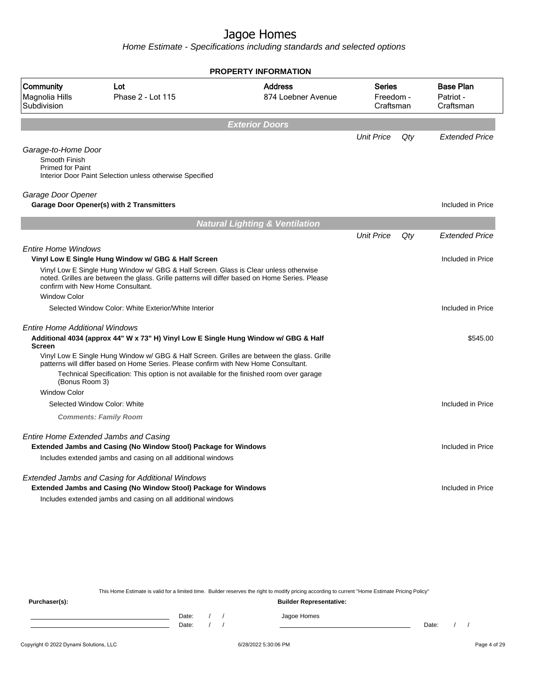Home Estimate - Specifications including standards and selected options

|                                            |                                                                                                                                                                                                                             | <b>PROPERTY INFORMATION</b>               |                                         |     |                                            |
|--------------------------------------------|-----------------------------------------------------------------------------------------------------------------------------------------------------------------------------------------------------------------------------|-------------------------------------------|-----------------------------------------|-----|--------------------------------------------|
| Community<br>Magnolia Hills<br>Subdivision | Lot<br>Phase 2 - Lot 115                                                                                                                                                                                                    | <b>Address</b><br>874 Loebner Avenue      | <b>Series</b><br>Freedom -<br>Craftsman |     | <b>Base Plan</b><br>Patriot -<br>Craftsman |
|                                            |                                                                                                                                                                                                                             | <b>Exterior Doors</b>                     |                                         |     |                                            |
| Garage-to-Home Door                        |                                                                                                                                                                                                                             |                                           | <b>Unit Price</b>                       | Qty | <b>Extended Price</b>                      |
| Smooth Finish<br><b>Primed for Paint</b>   | Interior Door Paint Selection unless otherwise Specified                                                                                                                                                                    |                                           |                                         |     |                                            |
| Garage Door Opener                         | Garage Door Opener(s) with 2 Transmitters                                                                                                                                                                                   |                                           |                                         |     | Included in Price                          |
|                                            |                                                                                                                                                                                                                             | <b>Natural Lighting &amp; Ventilation</b> |                                         |     |                                            |
|                                            |                                                                                                                                                                                                                             |                                           | <b>Unit Price</b>                       | Qty | <b>Extended Price</b>                      |
| <b>Entire Home Windows</b>                 | Vinyl Low E Single Hung Window w/ GBG & Half Screen                                                                                                                                                                         |                                           |                                         |     | Included in Price                          |
|                                            | Vinyl Low E Single Hung Window w/ GBG & Half Screen. Glass is Clear unless otherwise<br>noted. Grilles are between the glass. Grille patterns will differ based on Home Series. Please<br>confirm with New Home Consultant. |                                           |                                         |     |                                            |
| <b>Window Color</b>                        |                                                                                                                                                                                                                             |                                           |                                         |     |                                            |
|                                            | Selected Window Color: White Exterior/White Interior                                                                                                                                                                        |                                           |                                         |     | Included in Price                          |
| Entire Home Additional Windows             |                                                                                                                                                                                                                             |                                           |                                         |     |                                            |
| Screen                                     | Additional 4034 (approx 44" W x 73" H) Vinyl Low E Single Hung Window w/ GBG & Half                                                                                                                                         |                                           |                                         |     | \$545.00                                   |
|                                            | Vinyl Low E Single Hung Window w/ GBG & Half Screen. Grilles are between the glass. Grille<br>patterns will differ based on Home Series. Please confirm with New Home Consultant.                                           |                                           |                                         |     |                                            |
| (Bonus Room 3)                             | Technical Specification: This option is not available for the finished room over garage                                                                                                                                     |                                           |                                         |     |                                            |
| <b>Window Color</b>                        |                                                                                                                                                                                                                             |                                           |                                         |     |                                            |
|                                            | Selected Window Color: White                                                                                                                                                                                                |                                           |                                         |     | Included in Price                          |
|                                            | <b>Comments: Family Room</b>                                                                                                                                                                                                |                                           |                                         |     |                                            |
|                                            | Entire Home Extended Jambs and Casing<br>Extended Jambs and Casing (No Window Stool) Package for Windows                                                                                                                    |                                           |                                         |     | Included in Price                          |
|                                            | Includes extended jambs and casing on all additional windows                                                                                                                                                                |                                           |                                         |     |                                            |
|                                            | Extended Jambs and Casing for Additional Windows<br>Extended Jambs and Casing (No Window Stool) Package for Windows                                                                                                         |                                           |                                         |     | Included in Price                          |
|                                            | Includes extended jambs and casing on all additional windows                                                                                                                                                                |                                           |                                         |     |                                            |
|                                            |                                                                                                                                                                                                                             |                                           |                                         |     |                                            |
|                                            |                                                                                                                                                                                                                             |                                           |                                         |     |                                            |
|                                            |                                                                                                                                                                                                                             |                                           |                                         |     |                                            |

This Home Estimate is valid for a limited time. Builder reserves the right to modify pricing according to current "Home Estimate Pricing Policy"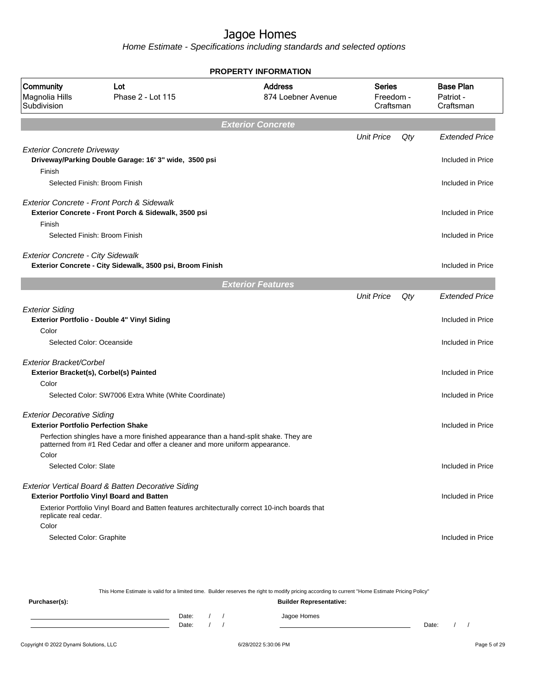|                                                                                 |                                                                                                                                                                       | PROPERTY INFORMATION                 |                                         |     |                                            |
|---------------------------------------------------------------------------------|-----------------------------------------------------------------------------------------------------------------------------------------------------------------------|--------------------------------------|-----------------------------------------|-----|--------------------------------------------|
| Community<br>Magnolia Hills<br>Subdivision                                      | Lot<br>Phase 2 - Lot 115                                                                                                                                              | <b>Address</b><br>874 Loebner Avenue | <b>Series</b><br>Freedom -<br>Craftsman |     | <b>Base Plan</b><br>Patriot -<br>Craftsman |
|                                                                                 |                                                                                                                                                                       | <b>Exterior Concrete</b>             |                                         |     |                                            |
|                                                                                 |                                                                                                                                                                       |                                      | <b>Unit Price</b>                       | Qty | <b>Extended Price</b>                      |
| <b>Exterior Concrete Driveway</b><br>Finish                                     | Driveway/Parking Double Garage: 16' 3" wide, 3500 psi                                                                                                                 |                                      |                                         |     | Included in Price                          |
|                                                                                 | Selected Finish: Broom Finish                                                                                                                                         |                                      |                                         |     | Included in Price                          |
|                                                                                 | Exterior Concrete - Front Porch & Sidewalk<br>Exterior Concrete - Front Porch & Sidewalk, 3500 psi                                                                    |                                      |                                         |     | Included in Price                          |
| Finish                                                                          | Selected Finish: Broom Finish                                                                                                                                         |                                      |                                         |     | Included in Price                          |
| <b>Exterior Concrete - City Sidewalk</b>                                        | Exterior Concrete - City Sidewalk, 3500 psi, Broom Finish                                                                                                             |                                      |                                         |     | Included in Price                          |
|                                                                                 |                                                                                                                                                                       | <b>Exterior Features</b>             |                                         |     |                                            |
|                                                                                 |                                                                                                                                                                       |                                      | <b>Unit Price</b>                       | Qty | <b>Extended Price</b>                      |
| <b>Exterior Siding</b><br>Color                                                 | <b>Exterior Portfolio - Double 4" Vinyl Siding</b>                                                                                                                    |                                      |                                         |     | Included in Price                          |
| Selected Color: Oceanside                                                       |                                                                                                                                                                       |                                      |                                         |     | Included in Price                          |
| Exterior Bracket/Corbel                                                         |                                                                                                                                                                       |                                      |                                         |     |                                            |
|                                                                                 | Exterior Bracket(s), Corbel(s) Painted                                                                                                                                |                                      |                                         |     | Included in Price                          |
| Color                                                                           |                                                                                                                                                                       |                                      |                                         |     |                                            |
|                                                                                 | Selected Color: SW7006 Extra White (White Coordinate)                                                                                                                 |                                      |                                         |     | Included in Price                          |
| <b>Exterior Decorative Siding</b><br><b>Exterior Portfolio Perfection Shake</b> |                                                                                                                                                                       |                                      |                                         |     | Included in Price                          |
| Color                                                                           | Perfection shingles have a more finished appearance than a hand-split shake. They are<br>patterned from #1 Red Cedar and offer a cleaner and more uniform appearance. |                                      |                                         |     |                                            |
| Selected Color: Slate                                                           |                                                                                                                                                                       |                                      |                                         |     | Included in Price                          |
|                                                                                 | Exterior Vertical Board & Batten Decorative Siding<br><b>Exterior Portfolio Vinyl Board and Batten</b>                                                                |                                      |                                         |     | Included in Price                          |
| replicate real cedar.<br>Color                                                  | Exterior Portfolio Vinyl Board and Batten features architecturally correct 10-inch boards that                                                                        |                                      |                                         |     |                                            |
| Selected Color: Graphite                                                        |                                                                                                                                                                       |                                      |                                         |     | Included in Price                          |

| This Home Estimate is valid for a limited time. Builder reserves the right to modify pricing according to current "Home Estimate Pricing Policy" |                                |       |  |  |             |       |  |  |
|--------------------------------------------------------------------------------------------------------------------------------------------------|--------------------------------|-------|--|--|-------------|-------|--|--|
| Purchaser(s):                                                                                                                                    | <b>Builder Representative:</b> |       |  |  |             |       |  |  |
|                                                                                                                                                  |                                | Date: |  |  | Jagoe Homes |       |  |  |
|                                                                                                                                                  |                                | Date: |  |  |             | Date: |  |  |
|                                                                                                                                                  |                                |       |  |  |             |       |  |  |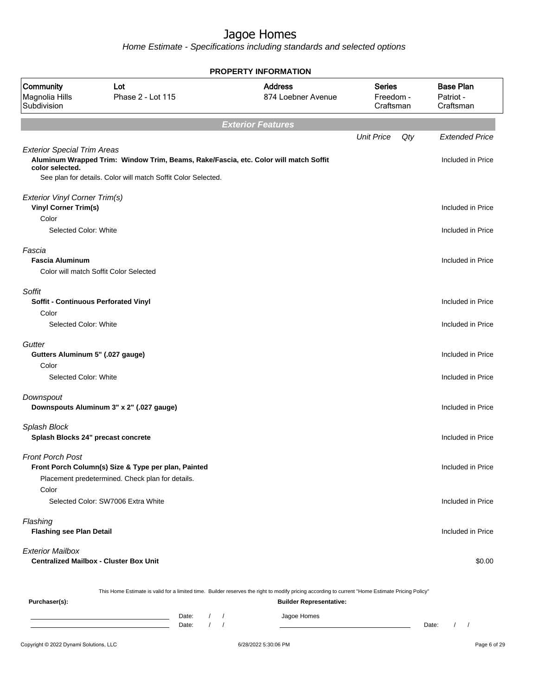|                                                       |                                                                                                                                                       | <b>PROPERTY INFORMATION</b>                                                                                                                      |                                         |                                            |
|-------------------------------------------------------|-------------------------------------------------------------------------------------------------------------------------------------------------------|--------------------------------------------------------------------------------------------------------------------------------------------------|-----------------------------------------|--------------------------------------------|
| Community<br>Magnolia Hills<br>Subdivision            | Lot<br>Phase 2 - Lot 115                                                                                                                              | <b>Address</b><br>874 Loebner Avenue                                                                                                             | <b>Series</b><br>Freedom -<br>Craftsman | <b>Base Plan</b><br>Patriot -<br>Craftsman |
|                                                       |                                                                                                                                                       | <b>Exterior Features</b>                                                                                                                         |                                         |                                            |
|                                                       |                                                                                                                                                       |                                                                                                                                                  | <b>Unit Price</b><br>$Q$ ty             | <b>Extended Price</b>                      |
| <b>Exterior Special Trim Areas</b><br>color selected. | Aluminum Wrapped Trim: Window Trim, Beams, Rake/Fascia, etc. Color will match Soffit<br>See plan for details. Color will match Soffit Color Selected. |                                                                                                                                                  |                                         | Included in Price                          |
| Exterior Vinyl Corner Trim(s)                         |                                                                                                                                                       |                                                                                                                                                  |                                         |                                            |
| <b>Vinyl Corner Trim(s)</b>                           |                                                                                                                                                       |                                                                                                                                                  |                                         | Included in Price                          |
| Color                                                 |                                                                                                                                                       |                                                                                                                                                  |                                         |                                            |
| Selected Color: White                                 |                                                                                                                                                       |                                                                                                                                                  |                                         | Included in Price                          |
| Fascia                                                |                                                                                                                                                       |                                                                                                                                                  |                                         |                                            |
| <b>Fascia Aluminum</b>                                |                                                                                                                                                       |                                                                                                                                                  |                                         | Included in Price                          |
|                                                       | Color will match Soffit Color Selected                                                                                                                |                                                                                                                                                  |                                         |                                            |
| Soffit                                                |                                                                                                                                                       |                                                                                                                                                  |                                         |                                            |
| Soffit - Continuous Perforated Vinyl                  |                                                                                                                                                       |                                                                                                                                                  |                                         | Included in Price                          |
| Color                                                 |                                                                                                                                                       |                                                                                                                                                  |                                         |                                            |
| Selected Color: White                                 |                                                                                                                                                       |                                                                                                                                                  |                                         | Included in Price                          |
| Gutter                                                |                                                                                                                                                       |                                                                                                                                                  |                                         |                                            |
| Gutters Aluminum 5" (.027 gauge)                      |                                                                                                                                                       |                                                                                                                                                  |                                         | Included in Price                          |
| Color                                                 |                                                                                                                                                       |                                                                                                                                                  |                                         |                                            |
| Selected Color: White                                 |                                                                                                                                                       |                                                                                                                                                  |                                         | Included in Price                          |
| Downspout                                             |                                                                                                                                                       |                                                                                                                                                  |                                         |                                            |
|                                                       | Downspouts Aluminum 3" x 2" (.027 gauge)                                                                                                              |                                                                                                                                                  |                                         | Included in Price                          |
| Splash Block                                          |                                                                                                                                                       |                                                                                                                                                  |                                         |                                            |
| Splash Blocks 24" precast concrete                    |                                                                                                                                                       |                                                                                                                                                  |                                         | Included in Price                          |
| <b>Front Porch Post</b>                               |                                                                                                                                                       |                                                                                                                                                  |                                         |                                            |
|                                                       | Front Porch Column(s) Size & Type per plan, Painted                                                                                                   |                                                                                                                                                  |                                         | Included in Price                          |
|                                                       | Placement predetermined. Check plan for details.                                                                                                      |                                                                                                                                                  |                                         |                                            |
| Color                                                 |                                                                                                                                                       |                                                                                                                                                  |                                         |                                            |
|                                                       | Selected Color: SW7006 Extra White                                                                                                                    |                                                                                                                                                  |                                         | Included in Price                          |
| Flashing                                              |                                                                                                                                                       |                                                                                                                                                  |                                         |                                            |
| <b>Flashing see Plan Detail</b>                       |                                                                                                                                                       |                                                                                                                                                  |                                         | Included in Price                          |
| <b>Exterior Mailbox</b>                               |                                                                                                                                                       |                                                                                                                                                  |                                         |                                            |
|                                                       | <b>Centralized Mailbox - Cluster Box Unit</b>                                                                                                         |                                                                                                                                                  |                                         | \$0.00                                     |
|                                                       |                                                                                                                                                       |                                                                                                                                                  |                                         |                                            |
|                                                       |                                                                                                                                                       | This Home Estimate is valid for a limited time. Builder reserves the right to modify pricing according to current "Home Estimate Pricing Policy" |                                         |                                            |
| Purchaser(s):                                         |                                                                                                                                                       | <b>Builder Representative:</b>                                                                                                                   |                                         |                                            |
|                                                       | Date:                                                                                                                                                 | Jagoe Homes                                                                                                                                      |                                         |                                            |
|                                                       | Date:                                                                                                                                                 |                                                                                                                                                  |                                         | Date:<br>$\sqrt{2}$                        |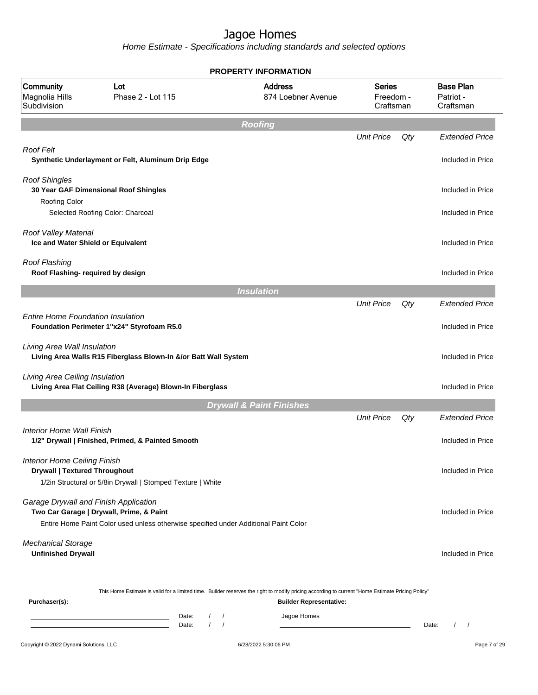|                                                                             |                                                                                                                                  | <b>PROPERTY INFORMATION</b>                                                                                                                                                        |                                         |     |                                            |
|-----------------------------------------------------------------------------|----------------------------------------------------------------------------------------------------------------------------------|------------------------------------------------------------------------------------------------------------------------------------------------------------------------------------|-----------------------------------------|-----|--------------------------------------------|
| Community<br>Magnolia Hills<br>Subdivision                                  | Lot<br>Phase 2 - Lot 115                                                                                                         | <b>Address</b><br>874 Loebner Avenue                                                                                                                                               | <b>Series</b><br>Freedom -<br>Craftsman |     | <b>Base Plan</b><br>Patriot -<br>Craftsman |
|                                                                             |                                                                                                                                  | <b>Roofing</b>                                                                                                                                                                     |                                         |     |                                            |
|                                                                             |                                                                                                                                  |                                                                                                                                                                                    | <b>Unit Price</b>                       | Qty | <b>Extended Price</b>                      |
| <b>Roof Felt</b>                                                            | Synthetic Underlayment or Felt, Aluminum Drip Edge                                                                               |                                                                                                                                                                                    |                                         |     | Included in Price                          |
| <b>Roof Shingles</b>                                                        | 30 Year GAF Dimensional Roof Shingles                                                                                            |                                                                                                                                                                                    |                                         |     | Included in Price                          |
| <b>Roofing Color</b>                                                        | Selected Roofing Color: Charcoal                                                                                                 |                                                                                                                                                                                    |                                         |     | Included in Price                          |
| Roof Valley Material<br>Ice and Water Shield or Equivalent                  |                                                                                                                                  |                                                                                                                                                                                    |                                         |     | Included in Price                          |
| Roof Flashing<br>Roof Flashing- required by design                          |                                                                                                                                  |                                                                                                                                                                                    |                                         |     | Included in Price                          |
|                                                                             |                                                                                                                                  | <b>Insulation</b>                                                                                                                                                                  |                                         |     |                                            |
|                                                                             |                                                                                                                                  |                                                                                                                                                                                    | <b>Unit Price</b>                       | Qty | <b>Extended Price</b>                      |
| <b>Entire Home Foundation Insulation</b>                                    | Foundation Perimeter 1"x24" Styrofoam R5.0                                                                                       |                                                                                                                                                                                    |                                         |     | Included in Price                          |
| Living Area Wall Insulation                                                 | Living Area Walls R15 Fiberglass Blown-In &/or Batt Wall System                                                                  |                                                                                                                                                                                    |                                         |     | Included in Price                          |
| Living Area Ceiling Insulation                                              | Living Area Flat Ceiling R38 (Average) Blown-In Fiberglass                                                                       |                                                                                                                                                                                    |                                         |     | Included in Price                          |
|                                                                             |                                                                                                                                  | <b>Drywall &amp; Paint Finishes</b>                                                                                                                                                |                                         |     |                                            |
|                                                                             |                                                                                                                                  |                                                                                                                                                                                    | <b>Unit Price</b>                       | Qty | <b>Extended Price</b>                      |
| Interior Home Wall Finish                                                   | 1/2" Drywall   Finished, Primed, & Painted Smooth                                                                                |                                                                                                                                                                                    |                                         |     | Included in Price                          |
| <b>Interior Home Ceiling Finish</b><br><b>Drywall   Textured Throughout</b> | 1/2in Structural or 5/8in Drywall   Stomped Texture   White                                                                      |                                                                                                                                                                                    |                                         |     | Included in Price                          |
| Garage Drywall and Finish Application                                       | Two Car Garage   Drywall, Prime, & Paint<br>Entire Home Paint Color used unless otherwise specified under Additional Paint Color |                                                                                                                                                                                    |                                         |     | Included in Price                          |
|                                                                             |                                                                                                                                  |                                                                                                                                                                                    |                                         |     |                                            |
| <b>Mechanical Storage</b><br><b>Unfinished Drywall</b>                      |                                                                                                                                  |                                                                                                                                                                                    |                                         |     | Included in Price                          |
| Purchaser(s):                                                               |                                                                                                                                  | This Home Estimate is valid for a limited time. Builder reserves the right to modify pricing according to current "Home Estimate Pricing Policy"<br><b>Builder Representative:</b> |                                         |     |                                            |
|                                                                             | Date:<br>$\left  \right $<br><u> 1980 - Johann Barn, amerikansk politiker (</u><br>$\sqrt{ }$<br>Date:                           | Jagoe Homes<br>$\sqrt{ }$                                                                                                                                                          |                                         |     | Date:<br>$\left  \right $                  |
| Copyright © 2022 Dynami Solutions, LLC                                      |                                                                                                                                  | 6/28/2022 5:30:06 PM                                                                                                                                                               |                                         |     | Page 7 of 29                               |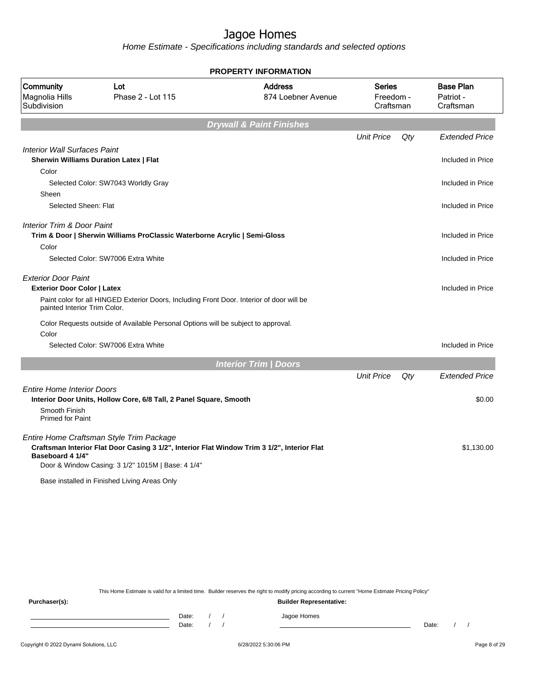Home Estimate - Specifications including standards and selected options

|                                                                                                  |                                                                                                                                                                                                                                              | <b>PROPERTY INFORMATION</b>          |                                         |     |                                            |
|--------------------------------------------------------------------------------------------------|----------------------------------------------------------------------------------------------------------------------------------------------------------------------------------------------------------------------------------------------|--------------------------------------|-----------------------------------------|-----|--------------------------------------------|
| Community<br>Magnolia Hills<br>Subdivision                                                       | Lot<br>Phase 2 - Lot 115                                                                                                                                                                                                                     | <b>Address</b><br>874 Loebner Avenue | <b>Series</b><br>Freedom -<br>Craftsman |     | <b>Base Plan</b><br>Patriot -<br>Craftsman |
|                                                                                                  |                                                                                                                                                                                                                                              | <b>Drywall &amp; Paint Finishes</b>  |                                         |     |                                            |
|                                                                                                  |                                                                                                                                                                                                                                              |                                      | <b>Unit Price</b>                       | Qty | <b>Extended Price</b>                      |
| <b>Interior Wall Surfaces Paint</b>                                                              |                                                                                                                                                                                                                                              |                                      |                                         |     |                                            |
|                                                                                                  | <b>Sherwin Williams Duration Latex   Flat</b>                                                                                                                                                                                                |                                      |                                         |     | Included in Price                          |
| Color                                                                                            |                                                                                                                                                                                                                                              |                                      |                                         |     |                                            |
| Sheen                                                                                            | Selected Color: SW7043 Worldly Gray                                                                                                                                                                                                          |                                      |                                         |     | Included in Price                          |
| Selected Sheen: Flat                                                                             |                                                                                                                                                                                                                                              |                                      |                                         |     | Included in Price                          |
| Interior Trim & Door Paint<br>Color                                                              | Trim & Door   Sherwin Williams ProClassic Waterborne Acrylic   Semi-Gloss                                                                                                                                                                    |                                      |                                         |     | Included in Price                          |
|                                                                                                  | Selected Color: SW7006 Extra White                                                                                                                                                                                                           |                                      |                                         |     | Included in Price                          |
| <b>Exterior Door Paint</b><br><b>Exterior Door Color   Latex</b><br>painted Interior Trim Color. | Paint color for all HINGED Exterior Doors, Including Front Door. Interior of door will be                                                                                                                                                    |                                      |                                         |     | Included in Price                          |
|                                                                                                  | Color Requests outside of Available Personal Options will be subject to approval.                                                                                                                                                            |                                      |                                         |     |                                            |
| Color                                                                                            | Selected Color: SW7006 Extra White                                                                                                                                                                                                           |                                      |                                         |     | Included in Price                          |
|                                                                                                  |                                                                                                                                                                                                                                              | <b>Interior Trim / Doors</b>         |                                         |     |                                            |
|                                                                                                  |                                                                                                                                                                                                                                              |                                      | <b>Unit Price</b>                       | Qty | <b>Extended Price</b>                      |
| <b>Entire Home Interior Doors</b><br>Smooth Finish<br><b>Primed for Paint</b>                    | Interior Door Units, Hollow Core, 6/8 Tall, 2 Panel Square, Smooth                                                                                                                                                                           |                                      |                                         |     | \$0.00                                     |
| Baseboard 4 1/4"                                                                                 | Entire Home Craftsman Style Trim Package<br>Craftsman Interior Flat Door Casing 3 1/2", Interior Flat Window Trim 3 1/2", Interior Flat<br>Door & Window Casing: 3 1/2" 1015M   Base: 4 1/4"<br>Base installed in Finished Living Areas Only |                                      |                                         |     | \$1,130.00                                 |

**PROPERTY INFORMATION**

This Home Estimate is valid for a limited time. Builder reserves the right to modify pricing according to current "Home Estimate Pricing Policy"

**Purchaser(s): Builder Representative:** Date: / / Jagoe Homes<br>Date: / / Jagoe Homes Date: / / **Date: / / 2006** Date: / / / Date: / / / Date: / / / 2006 Date: / / / 2006 Date: / / / 2006 Date: / / / 2006 Date: / / / 2007 Date: / / / 2007 Date: / / / 2007 Date: / / / 2007 Date: / / / 2007 Date: / / / 2007 D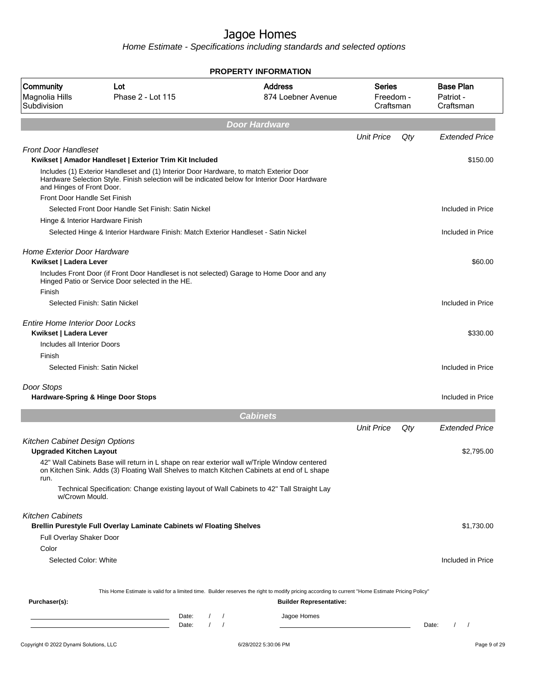|                                                                  |                                                                                                                                                                                             | <b>PROPERTY INFORMATION</b>          |                                  |     |                                            |
|------------------------------------------------------------------|---------------------------------------------------------------------------------------------------------------------------------------------------------------------------------------------|--------------------------------------|----------------------------------|-----|--------------------------------------------|
| Community<br>Magnolia Hills<br>Subdivision                       | Lot<br>Phase 2 - Lot 115                                                                                                                                                                    | <b>Address</b><br>874 Loebner Avenue | Series<br>Freedom -<br>Craftsman |     | <b>Base Plan</b><br>Patriot -<br>Craftsman |
|                                                                  |                                                                                                                                                                                             | <b>Door Hardware</b>                 |                                  |     |                                            |
|                                                                  |                                                                                                                                                                                             |                                      | <b>Unit Price</b>                | Qty | <b>Extended Price</b>                      |
| <b>Front Door Handleset</b>                                      | Kwikset   Amador Handleset   Exterior Trim Kit Included                                                                                                                                     |                                      |                                  |     | \$150.00                                   |
| and Hinges of Front Door.                                        | Includes (1) Exterior Handleset and (1) Interior Door Hardware, to match Exterior Door<br>Hardware Selection Style. Finish selection will be indicated below for Interior Door Hardware     |                                      |                                  |     |                                            |
| Front Door Handle Set Finish                                     |                                                                                                                                                                                             |                                      |                                  |     |                                            |
|                                                                  | Selected Front Door Handle Set Finish: Satin Nickel                                                                                                                                         |                                      |                                  |     | Included in Price                          |
| Hinge & Interior Hardware Finish                                 |                                                                                                                                                                                             |                                      |                                  |     |                                            |
|                                                                  | Selected Hinge & Interior Hardware Finish: Match Exterior Handleset - Satin Nickel                                                                                                          |                                      |                                  |     | Included in Price                          |
| <b>Home Exterior Door Hardware</b><br>Kwikset   Ladera Lever     |                                                                                                                                                                                             |                                      |                                  |     | \$60.00                                    |
| Finish                                                           | Includes Front Door (if Front Door Handleset is not selected) Garage to Home Door and any<br>Hinged Patio or Service Door selected in the HE.                                               |                                      |                                  |     |                                            |
|                                                                  | Selected Finish: Satin Nickel                                                                                                                                                               |                                      |                                  |     | Included in Price                          |
| <b>Entire Home Interior Door Locks</b><br>Kwikset   Ladera Lever |                                                                                                                                                                                             |                                      |                                  |     | \$330.00                                   |
| Includes all Interior Doors                                      |                                                                                                                                                                                             |                                      |                                  |     |                                            |
| Finish                                                           |                                                                                                                                                                                             |                                      |                                  |     |                                            |
|                                                                  | Selected Finish: Satin Nickel                                                                                                                                                               |                                      |                                  |     | Included in Price                          |
| Door Stops                                                       |                                                                                                                                                                                             |                                      |                                  |     |                                            |
|                                                                  | Hardware-Spring & Hinge Door Stops                                                                                                                                                          |                                      |                                  |     | Included in Price                          |
|                                                                  |                                                                                                                                                                                             | <b>Cabinets</b>                      |                                  |     |                                            |
|                                                                  |                                                                                                                                                                                             |                                      | <b>Unit Price</b>                | Qty | <b>Extended Price</b>                      |
| Kitchen Cabinet Design Options                                   |                                                                                                                                                                                             |                                      |                                  |     |                                            |
| <b>Upgraded Kitchen Layout</b>                                   |                                                                                                                                                                                             |                                      |                                  |     | \$2,795.00                                 |
| run.                                                             | 42" Wall Cabinets Base will return in L shape on rear exterior wall w/Triple Window centered<br>on Kitchen Sink. Adds (3) Floating Wall Shelves to match Kitchen Cabinets at end of L shape |                                      |                                  |     |                                            |
| w/Crown Mould.                                                   | Technical Specification: Change existing layout of Wall Cabinets to 42" Tall Straight Lay                                                                                                   |                                      |                                  |     |                                            |
| <b>Kitchen Cabinets</b>                                          | Brellin Purestyle Full Overlay Laminate Cabinets w/ Floating Shelves                                                                                                                        |                                      |                                  |     | \$1,730.00                                 |
| Full Overlay Shaker Door                                         |                                                                                                                                                                                             |                                      |                                  |     |                                            |
| Color                                                            |                                                                                                                                                                                             |                                      |                                  |     |                                            |
| Selected Color: White                                            |                                                                                                                                                                                             |                                      |                                  |     | Included in Price                          |
|                                                                  |                                                                                                                                                                                             |                                      |                                  |     |                                            |
| Purchaser(s):                                                    | This Home Estimate is valid for a limited time. Builder reserves the right to modify pricing according to current "Home Estimate Pricing Policy"                                            | <b>Builder Representative:</b>       |                                  |     |                                            |
|                                                                  |                                                                                                                                                                                             |                                      |                                  |     |                                            |
|                                                                  | Date:<br>$\frac{1}{2}$<br>the control of the control of the control of the control of the control of<br>$\frac{1}{2}$                                                                       | Jagoe Homes                          |                                  |     |                                            |
|                                                                  | Date:                                                                                                                                                                                       |                                      |                                  |     | $\frac{1}{2}$<br>Date:                     |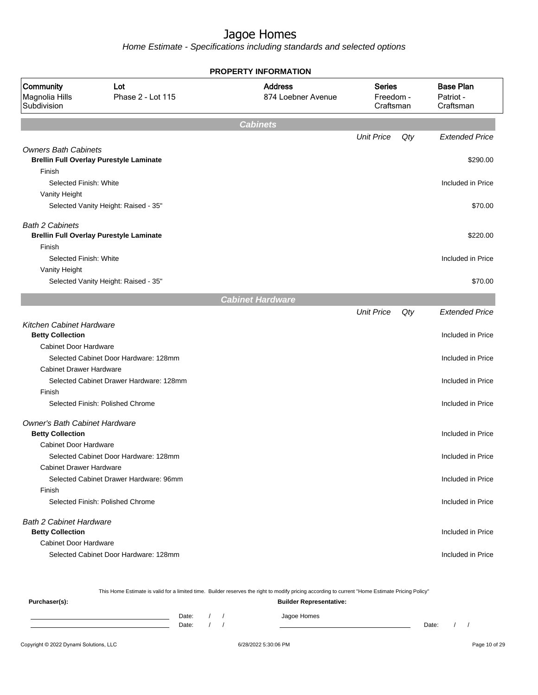Home Estimate - Specifications including standards and selected options

|                                                            |                                                | <b>PROPERTY INFORMATION</b>          |                                         |     |                                            |
|------------------------------------------------------------|------------------------------------------------|--------------------------------------|-----------------------------------------|-----|--------------------------------------------|
| Community<br>Magnolia Hills<br>Subdivision                 | Lot<br>Phase 2 - Lot 115                       | <b>Address</b><br>874 Loebner Avenue | <b>Series</b><br>Freedom -<br>Craftsman |     | <b>Base Plan</b><br>Patriot -<br>Craftsman |
|                                                            |                                                | <b>Cabinets</b>                      |                                         |     |                                            |
|                                                            |                                                |                                      | <b>Unit Price</b>                       | Qty | <b>Extended Price</b>                      |
| <b>Owners Bath Cabinets</b>                                | <b>Brellin Full Overlay Purestyle Laminate</b> |                                      |                                         |     | \$290.00                                   |
| Finish                                                     |                                                |                                      |                                         |     |                                            |
| Selected Finish: White                                     |                                                |                                      |                                         |     | Included in Price                          |
| Vanity Height                                              | Selected Vanity Height: Raised - 35"           |                                      |                                         |     | \$70.00                                    |
|                                                            |                                                |                                      |                                         |     |                                            |
| <b>Bath 2 Cabinets</b>                                     |                                                |                                      |                                         |     |                                            |
|                                                            | <b>Brellin Full Overlay Purestyle Laminate</b> |                                      |                                         |     | \$220.00                                   |
| Finish                                                     |                                                |                                      |                                         |     |                                            |
| Selected Finish: White                                     |                                                |                                      |                                         |     | Included in Price                          |
| Vanity Height                                              |                                                |                                      |                                         |     |                                            |
|                                                            | Selected Vanity Height: Raised - 35"           |                                      |                                         |     | \$70.00                                    |
|                                                            |                                                | <b>Cabinet Hardware</b>              |                                         |     |                                            |
|                                                            |                                                |                                      | <b>Unit Price</b>                       | Qty | <b>Extended Price</b>                      |
| <b>Kitchen Cabinet Hardware</b><br><b>Betty Collection</b> |                                                |                                      |                                         |     | Included in Price                          |
| <b>Cabinet Door Hardware</b>                               |                                                |                                      |                                         |     |                                            |
|                                                            | Selected Cabinet Door Hardware: 128mm          |                                      |                                         |     | Included in Price                          |
| <b>Cabinet Drawer Hardware</b>                             |                                                |                                      |                                         |     |                                            |
|                                                            | Selected Cabinet Drawer Hardware: 128mm        |                                      |                                         |     | Included in Price                          |
| Finish                                                     |                                                |                                      |                                         |     |                                            |
|                                                            | Selected Finish: Polished Chrome               |                                      |                                         |     | Included in Price                          |
| Owner's Bath Cabinet Hardware                              |                                                |                                      |                                         |     |                                            |
| <b>Betty Collection</b>                                    |                                                |                                      |                                         |     | Included in Price                          |
| <b>Cabinet Door Hardware</b>                               |                                                |                                      |                                         |     |                                            |
|                                                            | Selected Cabinet Door Hardware: 128mm          |                                      |                                         |     | Included in Price                          |
| <b>Cabinet Drawer Hardware</b>                             |                                                |                                      |                                         |     |                                            |
|                                                            | Selected Cabinet Drawer Hardware: 96mm         |                                      |                                         |     | Included in Price                          |
| Finish                                                     |                                                |                                      |                                         |     |                                            |
|                                                            | Selected Finish: Polished Chrome               |                                      |                                         |     | Included in Price                          |
| <b>Bath 2 Cabinet Hardware</b>                             |                                                |                                      |                                         |     |                                            |
| <b>Betty Collection</b>                                    |                                                |                                      |                                         |     | Included in Price                          |
| <b>Cabinet Door Hardware</b>                               |                                                |                                      |                                         |     |                                            |
|                                                            | Selected Cabinet Door Hardware: 128mm          |                                      |                                         |     | Included in Price                          |
|                                                            |                                                |                                      |                                         |     |                                            |

This Home Estimate is valid for a limited time. Builder reserves the right to modify pricing according to current "Home Estimate Pricing Policy"

| Purchaser(s): |                |  | <b>Builder Representative:</b> |       |  |
|---------------|----------------|--|--------------------------------|-------|--|
|               | Date:<br>Date: |  | Jagoe Homes                    | Date: |  |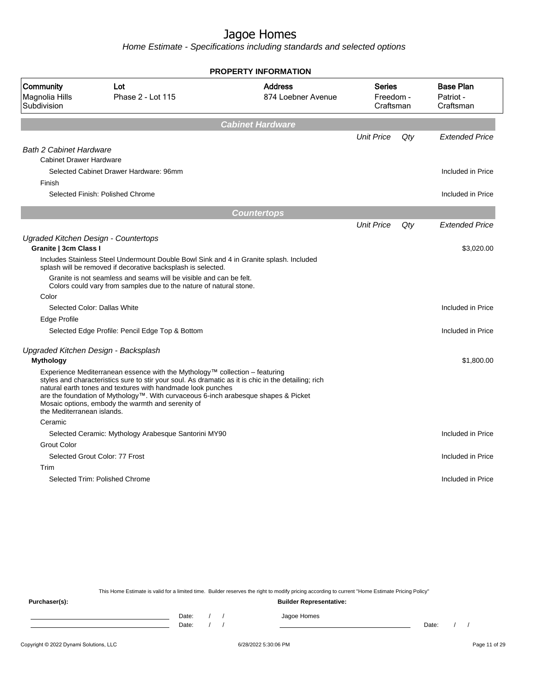Home Estimate - Specifications including standards and selected options

|                                                                  |                                                                                                                                                                                                                                                                                                                                                                                              | <b>PROPERTY INFORMATION</b>          |                                         |     |                                            |
|------------------------------------------------------------------|----------------------------------------------------------------------------------------------------------------------------------------------------------------------------------------------------------------------------------------------------------------------------------------------------------------------------------------------------------------------------------------------|--------------------------------------|-----------------------------------------|-----|--------------------------------------------|
| Community<br>Magnolia Hills<br>Subdivision                       | Lot<br>Phase 2 - Lot 115                                                                                                                                                                                                                                                                                                                                                                     | <b>Address</b><br>874 Loebner Avenue | <b>Series</b><br>Freedom -<br>Craftsman |     | <b>Base Plan</b><br>Patriot -<br>Craftsman |
|                                                                  |                                                                                                                                                                                                                                                                                                                                                                                              | <b>Cabinet Hardware</b>              |                                         |     |                                            |
|                                                                  |                                                                                                                                                                                                                                                                                                                                                                                              |                                      | <b>Unit Price</b>                       | Qty | <b>Extended Price</b>                      |
| <b>Bath 2 Cabinet Hardware</b><br><b>Cabinet Drawer Hardware</b> |                                                                                                                                                                                                                                                                                                                                                                                              |                                      |                                         |     |                                            |
|                                                                  | Selected Cabinet Drawer Hardware: 96mm                                                                                                                                                                                                                                                                                                                                                       |                                      |                                         |     | Included in Price                          |
| Finish                                                           |                                                                                                                                                                                                                                                                                                                                                                                              |                                      |                                         |     |                                            |
|                                                                  | Selected Finish: Polished Chrome                                                                                                                                                                                                                                                                                                                                                             |                                      |                                         |     | Included in Price                          |
|                                                                  |                                                                                                                                                                                                                                                                                                                                                                                              | <b>Countertops</b>                   |                                         |     |                                            |
|                                                                  |                                                                                                                                                                                                                                                                                                                                                                                              |                                      | <b>Unit Price</b>                       | Qty | <b>Extended Price</b>                      |
| Ugraded Kitchen Design - Countertops                             |                                                                                                                                                                                                                                                                                                                                                                                              |                                      |                                         |     |                                            |
| Granite   3cm Class I                                            |                                                                                                                                                                                                                                                                                                                                                                                              |                                      |                                         |     | \$3,020.00                                 |
|                                                                  | Includes Stainless Steel Undermount Double Bowl Sink and 4 in Granite splash. Included<br>splash will be removed if decorative backsplash is selected.                                                                                                                                                                                                                                       |                                      |                                         |     |                                            |
|                                                                  | Granite is not seamless and seams will be visible and can be felt.<br>Colors could vary from samples due to the nature of natural stone.                                                                                                                                                                                                                                                     |                                      |                                         |     |                                            |
| Color                                                            |                                                                                                                                                                                                                                                                                                                                                                                              |                                      |                                         |     |                                            |
|                                                                  | Selected Color: Dallas White                                                                                                                                                                                                                                                                                                                                                                 |                                      |                                         |     | Included in Price                          |
| Edge Profile                                                     |                                                                                                                                                                                                                                                                                                                                                                                              |                                      |                                         |     |                                            |
|                                                                  | Selected Edge Profile: Pencil Edge Top & Bottom                                                                                                                                                                                                                                                                                                                                              |                                      |                                         |     | Included in Price                          |
| Upgraded Kitchen Design - Backsplash                             |                                                                                                                                                                                                                                                                                                                                                                                              |                                      |                                         |     |                                            |
| <b>Mythology</b>                                                 |                                                                                                                                                                                                                                                                                                                                                                                              |                                      |                                         |     | \$1,800.00                                 |
| the Mediterranean islands.                                       | Experience Mediterranean essence with the Mythology™ collection – featuring<br>styles and characteristics sure to stir your soul. As dramatic as it is chic in the detailing; rich<br>natural earth tones and textures with handmade look punches<br>are the foundation of Mythology™. With curvaceous 6-inch arabesque shapes & Picket<br>Mosaic options, embody the warmth and serenity of |                                      |                                         |     |                                            |
| Ceramic                                                          |                                                                                                                                                                                                                                                                                                                                                                                              |                                      |                                         |     |                                            |
|                                                                  | Selected Ceramic: Mythology Arabesque Santorini MY90                                                                                                                                                                                                                                                                                                                                         |                                      |                                         |     | Included in Price                          |
| <b>Grout Color</b>                                               |                                                                                                                                                                                                                                                                                                                                                                                              |                                      |                                         |     |                                            |
|                                                                  | Selected Grout Color: 77 Frost                                                                                                                                                                                                                                                                                                                                                               |                                      |                                         |     | Included in Price                          |
| Trim                                                             |                                                                                                                                                                                                                                                                                                                                                                                              |                                      |                                         |     |                                            |
|                                                                  | Selected Trim: Polished Chrome                                                                                                                                                                                                                                                                                                                                                               |                                      |                                         |     | Included in Price                          |
|                                                                  |                                                                                                                                                                                                                                                                                                                                                                                              |                                      |                                         |     |                                            |

This Home Estimate is valid for a limited time. Builder reserves the right to modify pricing according to current "Home Estimate Pricing Policy"

**Purchaser(s): Builder Representative:** Date: / / Jagoe Homes<br>Date: / / Jagoe Homes Date: / / **Date: / / 2006** Date: / / / Date: / / / Date: / / / 2006 Date: / / / 2006 Date: / / / 2006 Date: / / / 2006 Date: / / / 2007 Date: / / / 2007 Date: / / / 2007 Date: / / / 2007 Date: / / / 2007 Date: / / / 2007 D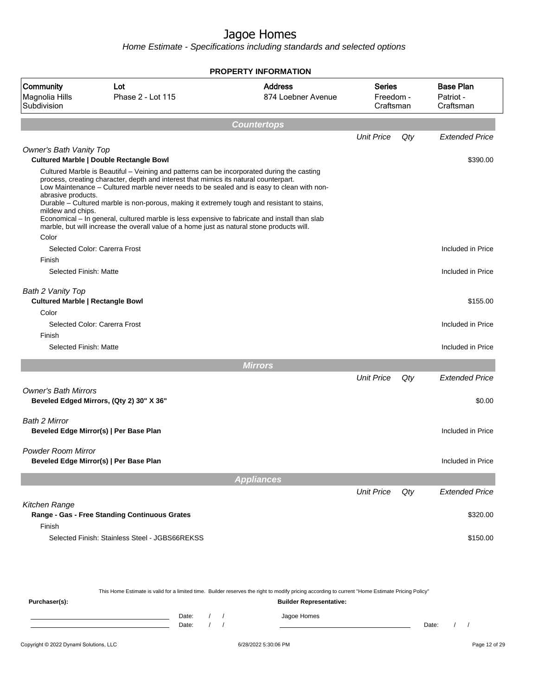|                                                                       |                                                                                                                                                                                                                                                                                                                                                                                                                                                                                                                                                                               | <b>PROPERTY INFORMATION</b>          |                                  |     |                                            |
|-----------------------------------------------------------------------|-------------------------------------------------------------------------------------------------------------------------------------------------------------------------------------------------------------------------------------------------------------------------------------------------------------------------------------------------------------------------------------------------------------------------------------------------------------------------------------------------------------------------------------------------------------------------------|--------------------------------------|----------------------------------|-----|--------------------------------------------|
| Community<br>Magnolia Hills<br>Subdivision                            | Lot<br>Phase 2 - Lot 115                                                                                                                                                                                                                                                                                                                                                                                                                                                                                                                                                      | <b>Address</b><br>874 Loebner Avenue | Series<br>Freedom -<br>Craftsman |     | <b>Base Plan</b><br>Patriot -<br>Craftsman |
|                                                                       |                                                                                                                                                                                                                                                                                                                                                                                                                                                                                                                                                                               | <b>Countertops</b>                   |                                  |     |                                            |
|                                                                       |                                                                                                                                                                                                                                                                                                                                                                                                                                                                                                                                                                               |                                      | <b>Unit Price</b>                | Qty | <b>Extended Price</b>                      |
| Owner's Bath Vanity Top                                               | <b>Cultured Marble   Double Rectangle Bowl</b>                                                                                                                                                                                                                                                                                                                                                                                                                                                                                                                                |                                      |                                  |     | \$390.00                                   |
| abrasive products.<br>mildew and chips.<br>Color                      | Cultured Marble is Beautiful – Veining and patterns can be incorporated during the casting<br>process, creating character, depth and interest that mimics its natural counterpart.<br>Low Maintenance - Cultured marble never needs to be sealed and is easy to clean with non-<br>Durable – Cultured marble is non-porous, making it extremely tough and resistant to stains,<br>Economical - In general, cultured marble is less expensive to fabricate and install than slab<br>marble, but will increase the overall value of a home just as natural stone products will. |                                      |                                  |     |                                            |
|                                                                       | Selected Color: Carerra Frost                                                                                                                                                                                                                                                                                                                                                                                                                                                                                                                                                 |                                      |                                  |     | Included in Price                          |
| Finish                                                                |                                                                                                                                                                                                                                                                                                                                                                                                                                                                                                                                                                               |                                      |                                  |     |                                            |
| Selected Finish: Matte                                                |                                                                                                                                                                                                                                                                                                                                                                                                                                                                                                                                                                               |                                      |                                  |     | Included in Price                          |
| Bath 2 Vanity Top<br><b>Cultured Marble   Rectangle Bowl</b><br>Color |                                                                                                                                                                                                                                                                                                                                                                                                                                                                                                                                                                               |                                      |                                  |     | \$155.00                                   |
|                                                                       | Selected Color: Carerra Frost                                                                                                                                                                                                                                                                                                                                                                                                                                                                                                                                                 |                                      |                                  |     | Included in Price                          |
| Finish                                                                |                                                                                                                                                                                                                                                                                                                                                                                                                                                                                                                                                                               |                                      |                                  |     |                                            |
| Selected Finish: Matte                                                |                                                                                                                                                                                                                                                                                                                                                                                                                                                                                                                                                                               |                                      |                                  |     | Included in Price                          |
|                                                                       |                                                                                                                                                                                                                                                                                                                                                                                                                                                                                                                                                                               | <b>Mirrors</b>                       |                                  |     |                                            |
|                                                                       |                                                                                                                                                                                                                                                                                                                                                                                                                                                                                                                                                                               |                                      | <b>Unit Price</b>                | Qty | <b>Extended Price</b>                      |
| <b>Owner's Bath Mirrors</b>                                           | Beveled Edged Mirrors, (Qty 2) 30" X 36"                                                                                                                                                                                                                                                                                                                                                                                                                                                                                                                                      |                                      |                                  |     | \$0.00                                     |
| Bath 2 Mirror                                                         | Beveled Edge Mirror(s)   Per Base Plan                                                                                                                                                                                                                                                                                                                                                                                                                                                                                                                                        |                                      |                                  |     | Included in Price                          |
| Powder Room Mirror                                                    | Beveled Edge Mirror(s)   Per Base Plan                                                                                                                                                                                                                                                                                                                                                                                                                                                                                                                                        |                                      |                                  |     | Included in Price                          |
|                                                                       |                                                                                                                                                                                                                                                                                                                                                                                                                                                                                                                                                                               | <b>Appliances</b>                    |                                  |     |                                            |
|                                                                       |                                                                                                                                                                                                                                                                                                                                                                                                                                                                                                                                                                               |                                      | <b>Unit Price</b>                | Qty | <b>Extended Price</b>                      |
| Kitchen Range<br>Finish                                               | Range - Gas - Free Standing Continuous Grates                                                                                                                                                                                                                                                                                                                                                                                                                                                                                                                                 |                                      |                                  |     | \$320.00                                   |
|                                                                       | Selected Finish: Stainless Steel - JGBS66REKSS                                                                                                                                                                                                                                                                                                                                                                                                                                                                                                                                |                                      |                                  |     | \$150.00                                   |

| This Home Estimate is valid for a limited time. Builder reserves the right to modify pricing according to current "Home Estimate Pricing Policy" |       |  |  |             |       |  |  |
|--------------------------------------------------------------------------------------------------------------------------------------------------|-------|--|--|-------------|-------|--|--|
| <b>Builder Representative:</b><br>Purchaser(s):                                                                                                  |       |  |  |             |       |  |  |
|                                                                                                                                                  | Date: |  |  | Jagoe Homes |       |  |  |
|                                                                                                                                                  | Date: |  |  |             | Date: |  |  |
|                                                                                                                                                  |       |  |  |             |       |  |  |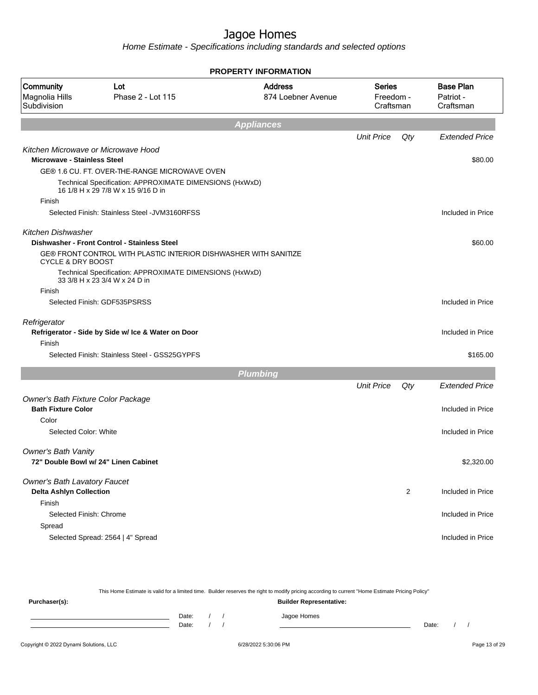Home Estimate - Specifications including standards and selected options

|                                                   |                                                                                                          | <b>PROPERTY INFORMATION</b>          |                                         |                |                                            |
|---------------------------------------------------|----------------------------------------------------------------------------------------------------------|--------------------------------------|-----------------------------------------|----------------|--------------------------------------------|
| <b>Community</b><br>Magnolia Hills<br>Subdivision | Lot<br>Phase 2 - Lot 115                                                                                 | <b>Address</b><br>874 Loebner Avenue | <b>Series</b><br>Freedom -<br>Craftsman |                | <b>Base Plan</b><br>Patriot -<br>Craftsman |
|                                                   |                                                                                                          | <b>Appliances</b>                    |                                         |                |                                            |
|                                                   |                                                                                                          |                                      | <b>Unit Price</b>                       | Qty            | <b>Extended Price</b>                      |
|                                                   | Kitchen Microwave or Microwave Hood                                                                      |                                      |                                         |                |                                            |
| <b>Microwave - Stainless Steel</b>                |                                                                                                          |                                      |                                         |                | \$80.00                                    |
|                                                   | GE® 1.6 CU. FT. OVER-THE-RANGE MICROWAVE OVEN<br>Technical Specification: APPROXIMATE DIMENSIONS (HxWxD) |                                      |                                         |                |                                            |
|                                                   | 16 1/8 H x 29 7/8 W x 15 9/16 D in                                                                       |                                      |                                         |                |                                            |
| Finish                                            |                                                                                                          |                                      |                                         |                |                                            |
|                                                   | Selected Finish: Stainless Steel - JVM3160RFSS                                                           |                                      |                                         |                | Included in Price                          |
| Kitchen Dishwasher                                |                                                                                                          |                                      |                                         |                |                                            |
|                                                   | Dishwasher - Front Control - Stainless Steel                                                             |                                      |                                         |                | \$60.00                                    |
| CYCLE & DRY BOOST                                 | GE® FRONT CONTROL WITH PLASTIC INTERIOR DISHWASHER WITH SANITIZE                                         |                                      |                                         |                |                                            |
|                                                   | Technical Specification: APPROXIMATE DIMENSIONS (HxWxD)                                                  |                                      |                                         |                |                                            |
|                                                   | 33 3/8 H x 23 3/4 W x 24 D in                                                                            |                                      |                                         |                |                                            |
| Finish                                            |                                                                                                          |                                      |                                         |                |                                            |
|                                                   | Selected Finish: GDF535PSRSS                                                                             |                                      |                                         |                | Included in Price                          |
| Refrigerator                                      |                                                                                                          |                                      |                                         |                |                                            |
|                                                   | Refrigerator - Side by Side w/ Ice & Water on Door                                                       |                                      |                                         |                | Included in Price                          |
| Finish                                            |                                                                                                          |                                      |                                         |                |                                            |
|                                                   | Selected Finish: Stainless Steel - GSS25GYPFS                                                            |                                      |                                         |                | \$165.00                                   |
|                                                   |                                                                                                          | <b>Plumbing</b>                      |                                         |                |                                            |
|                                                   |                                                                                                          |                                      | <b>Unit Price</b>                       | Qty            | <b>Extended Price</b>                      |
| Owner's Bath Fixture Color Package                |                                                                                                          |                                      |                                         |                |                                            |
| <b>Bath Fixture Color</b>                         |                                                                                                          |                                      |                                         |                | Included in Price                          |
| Color<br>Selected Color: White                    |                                                                                                          |                                      |                                         |                | Included in Price                          |
|                                                   |                                                                                                          |                                      |                                         |                |                                            |
| Owner's Bath Vanity                               |                                                                                                          |                                      |                                         |                |                                            |
|                                                   | 72" Double Bowl w/ 24" Linen Cabinet                                                                     |                                      |                                         |                | \$2,320.00                                 |
| <b>Owner's Bath Lavatory Faucet</b>               |                                                                                                          |                                      |                                         |                |                                            |
| <b>Delta Ashlyn Collection</b>                    |                                                                                                          |                                      |                                         | $\overline{2}$ | Included in Price                          |
| Finish                                            |                                                                                                          |                                      |                                         |                |                                            |
| Selected Finish: Chrome                           |                                                                                                          |                                      |                                         |                | Included in Price                          |
| Spread                                            |                                                                                                          |                                      |                                         |                |                                            |
|                                                   | Selected Spread: 2564   4" Spread                                                                        |                                      |                                         |                | Included in Price                          |
|                                                   |                                                                                                          |                                      |                                         |                |                                            |

This Home Estimate is valid for a limited time. Builder reserves the right to modify pricing according to current "Home Estimate Pricing Policy" **Purchaser(s): Builder Representative:** Date: / / Jagoe Homes<br>Date: / / Jagoe Homes Date: / / **Date: / / 2006** Date: / / / Date: / / / Date: / / / 2006 Date: / / / 2006 Date: / / / 2006 Date: / / / 2006 Date: / / / 2007 Date: / / / 2007 Date: / / / 2007 Date: / / / 2007 Date: / / / 2007 Date: / / / 2007 D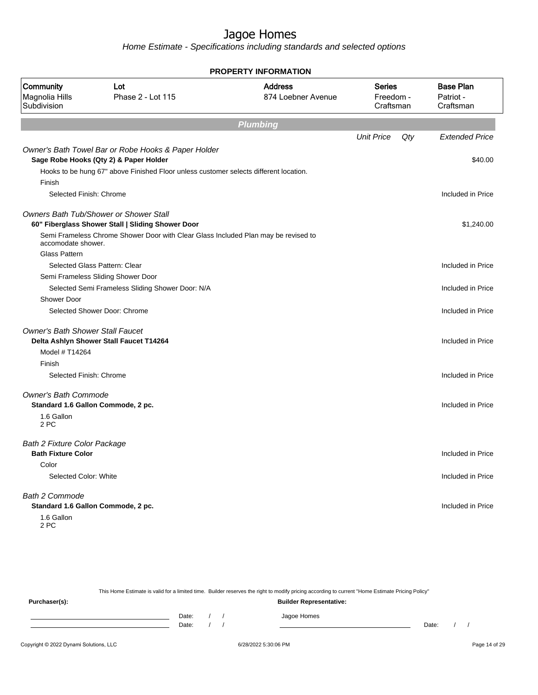Home Estimate - Specifications including standards and selected options

| <b>PROPERTY INFORMATION</b>                |                                                                                               |                                      |                                         |     |                                            |  |
|--------------------------------------------|-----------------------------------------------------------------------------------------------|--------------------------------------|-----------------------------------------|-----|--------------------------------------------|--|
| Community<br>Magnolia Hills<br>Subdivision | Lot<br>Phase 2 - Lot 115                                                                      | <b>Address</b><br>874 Loebner Avenue | <b>Series</b><br>Freedom -<br>Craftsman |     | <b>Base Plan</b><br>Patriot -<br>Craftsman |  |
|                                            |                                                                                               | <b>Plumbing</b>                      |                                         |     |                                            |  |
|                                            |                                                                                               |                                      | <b>Unit Price</b>                       | Qty | <b>Extended Price</b>                      |  |
|                                            | Owner's Bath Towel Bar or Robe Hooks & Paper Holder<br>Sage Robe Hooks (Qty 2) & Paper Holder |                                      |                                         |     | \$40.00                                    |  |
|                                            | Hooks to be hung 67" above Finished Floor unless customer selects different location.         |                                      |                                         |     |                                            |  |
| Finish                                     |                                                                                               |                                      |                                         |     |                                            |  |
| Selected Finish: Chrome                    |                                                                                               |                                      |                                         |     | Included in Price                          |  |
|                                            | <b>Owners Bath Tub/Shower or Shower Stall</b>                                                 |                                      |                                         |     |                                            |  |
|                                            | 60" Fiberglass Shower Stall   Sliding Shower Door                                             |                                      |                                         |     | \$1,240.00                                 |  |
| accomodate shower.                         | Semi Frameless Chrome Shower Door with Clear Glass Included Plan may be revised to            |                                      |                                         |     |                                            |  |
| <b>Glass Pattern</b>                       |                                                                                               |                                      |                                         |     |                                            |  |
|                                            | Selected Glass Pattern: Clear                                                                 |                                      |                                         |     | Included in Price                          |  |
|                                            | Semi Frameless Sliding Shower Door                                                            |                                      |                                         |     |                                            |  |
| <b>Shower Door</b>                         | Selected Semi Frameless Sliding Shower Door: N/A                                              |                                      |                                         |     | Included in Price                          |  |
|                                            | Selected Shower Door: Chrome                                                                  |                                      |                                         |     | Included in Price                          |  |
| <b>Owner's Bath Shower Stall Faucet</b>    |                                                                                               |                                      |                                         |     |                                            |  |
|                                            | Delta Ashlyn Shower Stall Faucet T14264                                                       |                                      |                                         |     | Included in Price                          |  |
| Model # T14264                             |                                                                                               |                                      |                                         |     |                                            |  |
| Finish                                     |                                                                                               |                                      |                                         |     |                                            |  |
| Selected Finish: Chrome                    |                                                                                               |                                      |                                         |     | Included in Price                          |  |
| <b>Owner's Bath Commode</b>                |                                                                                               |                                      |                                         |     |                                            |  |
|                                            | Standard 1.6 Gallon Commode, 2 pc.                                                            |                                      |                                         |     | Included in Price                          |  |
| 1.6 Gallon<br>2 PC                         |                                                                                               |                                      |                                         |     |                                            |  |
| <b>Bath 2 Fixture Color Package</b>        |                                                                                               |                                      |                                         |     |                                            |  |
| <b>Bath Fixture Color</b>                  |                                                                                               |                                      |                                         |     | Included in Price                          |  |
| Color                                      |                                                                                               |                                      |                                         |     |                                            |  |
| Selected Color: White                      |                                                                                               |                                      |                                         |     | Included in Price                          |  |
| <b>Bath 2 Commode</b>                      |                                                                                               |                                      |                                         |     |                                            |  |
|                                            | Standard 1.6 Gallon Commode, 2 pc.                                                            |                                      |                                         |     | Included in Price                          |  |
| 1.6 Gallon<br>2 PC                         |                                                                                               |                                      |                                         |     |                                            |  |

This Home Estimate is valid for a limited time. Builder reserves the right to modify pricing according to current "Home Estimate Pricing Policy"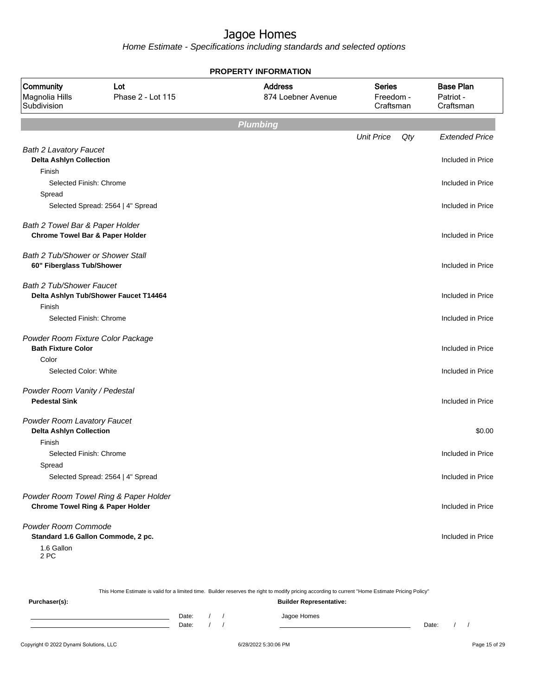Home Estimate - Specifications including standards and selected options

| <b>PROPERTY INFORMATION</b>                                   |                                       |                                      |                                         |                                            |  |  |  |
|---------------------------------------------------------------|---------------------------------------|--------------------------------------|-----------------------------------------|--------------------------------------------|--|--|--|
| Community<br>Magnolia Hills<br>Subdivision                    | Lot<br>Phase 2 - Lot 115              | <b>Address</b><br>874 Loebner Avenue | <b>Series</b><br>Freedom -<br>Craftsman | <b>Base Plan</b><br>Patriot -<br>Craftsman |  |  |  |
|                                                               |                                       | Plumbing                             |                                         |                                            |  |  |  |
|                                                               |                                       |                                      | <b>Unit Price</b>                       | Qty<br><b>Extended Price</b>               |  |  |  |
| <b>Bath 2 Lavatory Faucet</b>                                 |                                       |                                      |                                         |                                            |  |  |  |
| <b>Delta Ashlyn Collection</b>                                |                                       |                                      |                                         | Included in Price                          |  |  |  |
| Finish<br>Selected Finish: Chrome                             |                                       |                                      |                                         | Included in Price                          |  |  |  |
| Spread                                                        |                                       |                                      |                                         |                                            |  |  |  |
|                                                               | Selected Spread: 2564   4" Spread     |                                      |                                         | Included in Price                          |  |  |  |
| Bath 2 Towel Bar & Paper Holder                               |                                       |                                      |                                         |                                            |  |  |  |
| <b>Chrome Towel Bar &amp; Paper Holder</b>                    |                                       |                                      |                                         | Included in Price                          |  |  |  |
|                                                               |                                       |                                      |                                         |                                            |  |  |  |
| Bath 2 Tub/Shower or Shower Stall                             |                                       |                                      |                                         |                                            |  |  |  |
| 60" Fiberglass Tub/Shower                                     |                                       |                                      |                                         | Included in Price                          |  |  |  |
| <b>Bath 2 Tub/Shower Faucet</b>                               |                                       |                                      |                                         |                                            |  |  |  |
|                                                               | Delta Ashlyn Tub/Shower Faucet T14464 |                                      |                                         | Included in Price                          |  |  |  |
| Finish                                                        |                                       |                                      |                                         |                                            |  |  |  |
| Selected Finish: Chrome                                       |                                       |                                      |                                         | Included in Price                          |  |  |  |
| Powder Room Fixture Color Package                             |                                       |                                      |                                         |                                            |  |  |  |
| <b>Bath Fixture Color</b>                                     |                                       |                                      |                                         | Included in Price                          |  |  |  |
| Color                                                         |                                       |                                      |                                         |                                            |  |  |  |
| Selected Color: White                                         |                                       |                                      |                                         | Included in Price                          |  |  |  |
| Powder Room Vanity / Pedestal                                 |                                       |                                      |                                         |                                            |  |  |  |
| <b>Pedestal Sink</b>                                          |                                       |                                      |                                         | Included in Price                          |  |  |  |
|                                                               |                                       |                                      |                                         |                                            |  |  |  |
| Powder Room Lavatory Faucet<br><b>Delta Ashlyn Collection</b> |                                       |                                      |                                         | \$0.00                                     |  |  |  |
| Finish                                                        |                                       |                                      |                                         |                                            |  |  |  |
| Selected Finish: Chrome                                       |                                       |                                      |                                         | Included in Price                          |  |  |  |
| Spread                                                        |                                       |                                      |                                         |                                            |  |  |  |
|                                                               | Selected Spread: 2564   4" Spread     |                                      |                                         | Included in Price                          |  |  |  |
|                                                               |                                       |                                      |                                         |                                            |  |  |  |
|                                                               | Powder Room Towel Ring & Paper Holder |                                      |                                         |                                            |  |  |  |
| <b>Chrome Towel Ring &amp; Paper Holder</b>                   |                                       |                                      |                                         | Included in Price                          |  |  |  |
| Powder Room Commode                                           |                                       |                                      |                                         |                                            |  |  |  |
|                                                               | Standard 1.6 Gallon Commode, 2 pc.    |                                      |                                         | Included in Price                          |  |  |  |
| 1.6 Gallon                                                    |                                       |                                      |                                         |                                            |  |  |  |

This Home Estimate is valid for a limited time. Builder reserves the right to modify pricing according to current "Home Estimate Pricing Policy"

**Purchaser(s): Builder Representative:** Date: / / Jagoe Homes<br>Date: / / Jagoe Homes Date: / / Date: / /

2 PC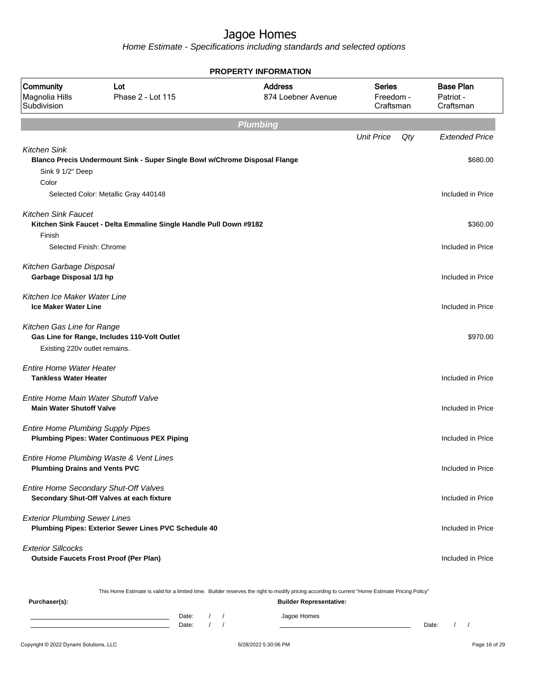Home Estimate - Specifications including standards and selected options

| <b>PROPERTY INFORMATION</b>                                             |                                                                                    |                                                                                                                                                                                    |                                         |     |                                            |  |  |  |  |  |
|-------------------------------------------------------------------------|------------------------------------------------------------------------------------|------------------------------------------------------------------------------------------------------------------------------------------------------------------------------------|-----------------------------------------|-----|--------------------------------------------|--|--|--|--|--|
| Community<br>Magnolia Hills<br>Subdivision                              | Lot<br>Phase 2 - Lot 115                                                           | <b>Address</b><br>874 Loebner Avenue                                                                                                                                               | <b>Series</b><br>Freedom -<br>Craftsman |     | <b>Base Plan</b><br>Patriot -<br>Craftsman |  |  |  |  |  |
| <b>Plumbing</b>                                                         |                                                                                    |                                                                                                                                                                                    |                                         |     |                                            |  |  |  |  |  |
|                                                                         |                                                                                    |                                                                                                                                                                                    | <b>Unit Price</b>                       | Qty | <b>Extended Price</b>                      |  |  |  |  |  |
| <b>Kitchen Sink</b><br>Sink 9 1/2" Deep<br>Color                        | Blanco Precis Undermount Sink - Super Single Bowl w/Chrome Disposal Flange         |                                                                                                                                                                                    |                                         |     | \$680.00                                   |  |  |  |  |  |
|                                                                         | Selected Color: Metallic Gray 440148                                               |                                                                                                                                                                                    |                                         |     | Included in Price                          |  |  |  |  |  |
| <b>Kitchen Sink Faucet</b><br>Finish<br>Selected Finish: Chrome         | Kitchen Sink Faucet - Delta Emmaline Single Handle Pull Down #9182                 |                                                                                                                                                                                    |                                         |     | \$360.00<br>Included in Price              |  |  |  |  |  |
| Kitchen Garbage Disposal<br>Garbage Disposal 1/3 hp                     |                                                                                    |                                                                                                                                                                                    |                                         |     | Included in Price                          |  |  |  |  |  |
| Kitchen Ice Maker Water Line<br><b>Ice Maker Water Line</b>             |                                                                                    |                                                                                                                                                                                    |                                         |     | Included in Price                          |  |  |  |  |  |
| Kitchen Gas Line for Range<br>Existing 220v outlet remains.             | Gas Line for Range, Includes 110-Volt Outlet                                       |                                                                                                                                                                                    |                                         |     | \$970.00                                   |  |  |  |  |  |
| <b>Entire Home Water Heater</b><br><b>Tankless Water Heater</b>         |                                                                                    |                                                                                                                                                                                    |                                         |     | Included in Price                          |  |  |  |  |  |
| Entire Home Main Water Shutoff Valve<br><b>Main Water Shutoff Valve</b> |                                                                                    |                                                                                                                                                                                    |                                         |     | Included in Price                          |  |  |  |  |  |
| <b>Entire Home Plumbing Supply Pipes</b>                                | <b>Plumbing Pipes: Water Continuous PEX Piping</b>                                 |                                                                                                                                                                                    |                                         |     | Included in Price                          |  |  |  |  |  |
| <b>Plumbing Drains and Vents PVC</b>                                    | Entire Home Plumbing Waste & Vent Lines                                            |                                                                                                                                                                                    |                                         |     | Included in Price                          |  |  |  |  |  |
|                                                                         | Entire Home Secondary Shut-Off Valves<br>Secondary Shut-Off Valves at each fixture |                                                                                                                                                                                    |                                         |     | Included in Price                          |  |  |  |  |  |
| <b>Exterior Plumbing Sewer Lines</b>                                    | Plumbing Pipes: Exterior Sewer Lines PVC Schedule 40                               |                                                                                                                                                                                    |                                         |     | Included in Price                          |  |  |  |  |  |
| <b>Exterior Sillcocks</b>                                               | <b>Outside Faucets Frost Proof (Per Plan)</b>                                      |                                                                                                                                                                                    |                                         |     | Included in Price                          |  |  |  |  |  |
| Purchaser(s):                                                           |                                                                                    | This Home Estimate is valid for a limited time. Builder reserves the right to modify pricing according to current "Home Estimate Pricing Policy"<br><b>Builder Representative:</b> |                                         |     |                                            |  |  |  |  |  |
|                                                                         |                                                                                    |                                                                                                                                                                                    |                                         |     |                                            |  |  |  |  |  |

Date: / / Jagoe Homes<br>Date: / / Jagoe Homes Date: / / Date: / / Date: / / Date: / / Date: / / / Date: / / / Date: / / / Date: / / / Date: / / / Date: / / /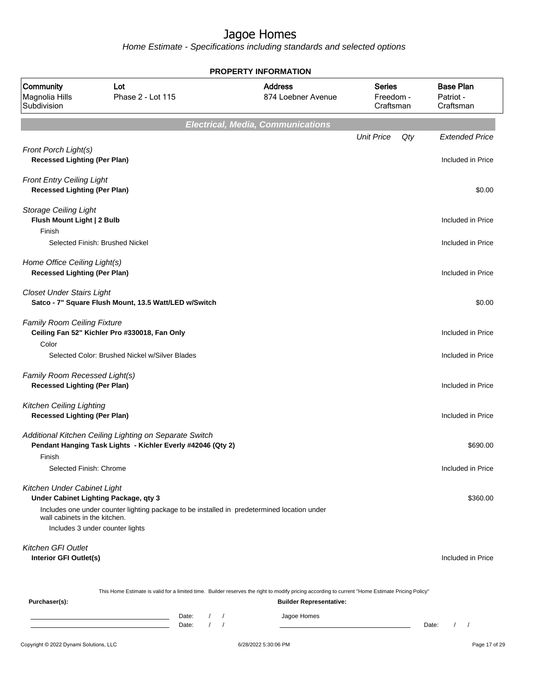| <b>PROPERTY INFORMATION</b>                                             |                                                                                                                                |                            |                                                                                                                                                                                    |                                         |                                            |  |  |
|-------------------------------------------------------------------------|--------------------------------------------------------------------------------------------------------------------------------|----------------------------|------------------------------------------------------------------------------------------------------------------------------------------------------------------------------------|-----------------------------------------|--------------------------------------------|--|--|
| <b>Community</b><br>Magnolia Hills<br>Subdivision                       | Lot<br>Phase 2 - Lot 115                                                                                                       |                            | <b>Address</b><br>874 Loebner Avenue                                                                                                                                               | <b>Series</b><br>Freedom -<br>Craftsman | <b>Base Plan</b><br>Patriot -<br>Craftsman |  |  |
|                                                                         |                                                                                                                                |                            | <b>Electrical, Media, Communications</b>                                                                                                                                           |                                         |                                            |  |  |
| Front Porch Light(s)<br><b>Recessed Lighting (Per Plan)</b>             |                                                                                                                                |                            |                                                                                                                                                                                    | <b>Unit Price</b><br>Qty                | <b>Extended Price</b><br>Included in Price |  |  |
| <b>Front Entry Ceiling Light</b><br><b>Recessed Lighting (Per Plan)</b> |                                                                                                                                |                            |                                                                                                                                                                                    |                                         | \$0.00                                     |  |  |
| <b>Storage Ceiling Light</b><br>Flush Mount Light   2 Bulb<br>Finish    |                                                                                                                                |                            |                                                                                                                                                                                    |                                         | Included in Price                          |  |  |
|                                                                         | Selected Finish: Brushed Nickel                                                                                                |                            |                                                                                                                                                                                    |                                         | Included in Price                          |  |  |
| Home Office Ceiling Light(s)<br><b>Recessed Lighting (Per Plan)</b>     |                                                                                                                                |                            |                                                                                                                                                                                    |                                         | Included in Price                          |  |  |
| <b>Closet Under Stairs Light</b>                                        | Satco - 7" Square Flush Mount, 13.5 Watt/LED w/Switch                                                                          |                            |                                                                                                                                                                                    |                                         | \$0.00                                     |  |  |
| <b>Family Room Ceiling Fixture</b><br>Color                             | Ceiling Fan 52" Kichler Pro #330018, Fan Only                                                                                  |                            |                                                                                                                                                                                    |                                         | Included in Price                          |  |  |
|                                                                         | Selected Color: Brushed Nickel w/Silver Blades                                                                                 |                            |                                                                                                                                                                                    |                                         | Included in Price                          |  |  |
| Family Room Recessed Light(s)<br><b>Recessed Lighting (Per Plan)</b>    |                                                                                                                                |                            |                                                                                                                                                                                    |                                         | Included in Price                          |  |  |
| <b>Kitchen Ceiling Lighting</b><br><b>Recessed Lighting (Per Plan)</b>  |                                                                                                                                |                            |                                                                                                                                                                                    |                                         | Included in Price                          |  |  |
|                                                                         | Additional Kitchen Ceiling Lighting on Separate Switch<br>Pendant Hanging Task Lights - Kichler Everly #42046 (Qty 2)          |                            |                                                                                                                                                                                    |                                         | \$690.00                                   |  |  |
| Finish<br>Selected Finish: Chrome                                       |                                                                                                                                |                            |                                                                                                                                                                                    |                                         | Included in Price                          |  |  |
| Kitchen Under Cabinet Light                                             | Under Cabinet Lighting Package, qty 3                                                                                          |                            |                                                                                                                                                                                    |                                         | \$360.00                                   |  |  |
| wall cabinets in the kitchen.                                           | Includes one under counter lighting package to be installed in predetermined location under<br>Includes 3 under counter lights |                            |                                                                                                                                                                                    |                                         |                                            |  |  |
| <b>Kitchen GFI Outlet</b><br>Interior GFI Outlet(s)                     |                                                                                                                                |                            |                                                                                                                                                                                    |                                         | Included in Price                          |  |  |
| Purchaser(s):                                                           |                                                                                                                                |                            | This Home Estimate is valid for a limited time. Builder reserves the right to modify pricing according to current "Home Estimate Pricing Policy"<br><b>Builder Representative:</b> |                                         |                                            |  |  |
|                                                                         |                                                                                                                                | Date:<br>$\prime$<br>Date: | Jagoe Homes                                                                                                                                                                        |                                         | Date:<br>$\prime$<br>$\sqrt{ }$            |  |  |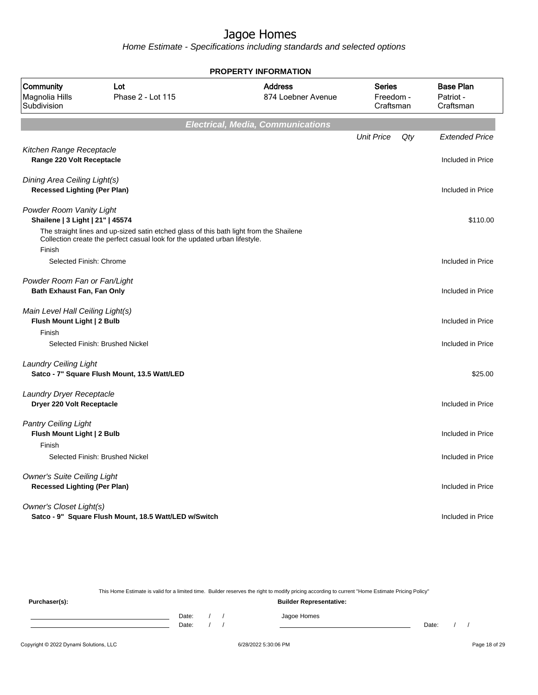Home Estimate - Specifications including standards and selected options

|                                                                           | <b>PROPERTY INFORMATION</b>                                                                                                                                           |                                          |                                         |     |                                            |  |  |  |  |
|---------------------------------------------------------------------------|-----------------------------------------------------------------------------------------------------------------------------------------------------------------------|------------------------------------------|-----------------------------------------|-----|--------------------------------------------|--|--|--|--|
| Community<br>Magnolia Hills<br>Subdivision                                | Lot<br>Phase 2 - Lot 115                                                                                                                                              | <b>Address</b><br>874 Loebner Avenue     | <b>Series</b><br>Freedom -<br>Craftsman |     | <b>Base Plan</b><br>Patriot -<br>Craftsman |  |  |  |  |
|                                                                           |                                                                                                                                                                       | <b>Electrical, Media, Communications</b> |                                         |     |                                            |  |  |  |  |
|                                                                           |                                                                                                                                                                       |                                          | <b>Unit Price</b>                       | Qty | <b>Extended Price</b>                      |  |  |  |  |
| Kitchen Range Receptacle<br>Range 220 Volt Receptacle                     |                                                                                                                                                                       |                                          |                                         |     | Included in Price                          |  |  |  |  |
| Dining Area Ceiling Light(s)<br><b>Recessed Lighting (Per Plan)</b>       |                                                                                                                                                                       |                                          |                                         |     | Included in Price                          |  |  |  |  |
| Powder Room Vanity Light<br>Shailene   3 Light   21"   45574              |                                                                                                                                                                       |                                          |                                         |     | \$110.00                                   |  |  |  |  |
| Finish                                                                    | The straight lines and up-sized satin etched glass of this bath light from the Shailene<br>Collection create the perfect casual look for the updated urban lifestyle. |                                          |                                         |     |                                            |  |  |  |  |
| Selected Finish: Chrome                                                   |                                                                                                                                                                       |                                          |                                         |     | Included in Price                          |  |  |  |  |
| Powder Room Fan or Fan/Light<br>Bath Exhaust Fan, Fan Only                |                                                                                                                                                                       |                                          |                                         |     | Included in Price                          |  |  |  |  |
| Main Level Hall Ceiling Light(s)<br>Flush Mount Light   2 Bulb            |                                                                                                                                                                       |                                          |                                         |     | Included in Price                          |  |  |  |  |
| Finish                                                                    | Selected Finish: Brushed Nickel                                                                                                                                       |                                          |                                         |     | Included in Price                          |  |  |  |  |
| <b>Laundry Ceiling Light</b>                                              | Satco - 7" Square Flush Mount, 13.5 Watt/LED                                                                                                                          |                                          |                                         |     | \$25.00                                    |  |  |  |  |
| Laundry Dryer Receptacle<br>Dryer 220 Volt Receptacle                     |                                                                                                                                                                       |                                          |                                         |     | Included in Price                          |  |  |  |  |
| <b>Pantry Ceiling Light</b><br>Flush Mount Light   2 Bulb<br>Finish       |                                                                                                                                                                       |                                          |                                         |     | Included in Price                          |  |  |  |  |
|                                                                           | Selected Finish: Brushed Nickel                                                                                                                                       |                                          |                                         |     | Included in Price                          |  |  |  |  |
| <b>Owner's Suite Ceiling Light</b><br><b>Recessed Lighting (Per Plan)</b> |                                                                                                                                                                       |                                          |                                         |     | Included in Price                          |  |  |  |  |
| <b>Owner's Closet Light(s)</b>                                            | Satco - 9" Square Flush Mount, 18.5 Watt/LED w/Switch                                                                                                                 |                                          |                                         |     | Included in Price                          |  |  |  |  |

This Home Estimate is valid for a limited time. Builder reserves the right to modify pricing according to current "Home Estimate Pricing Policy"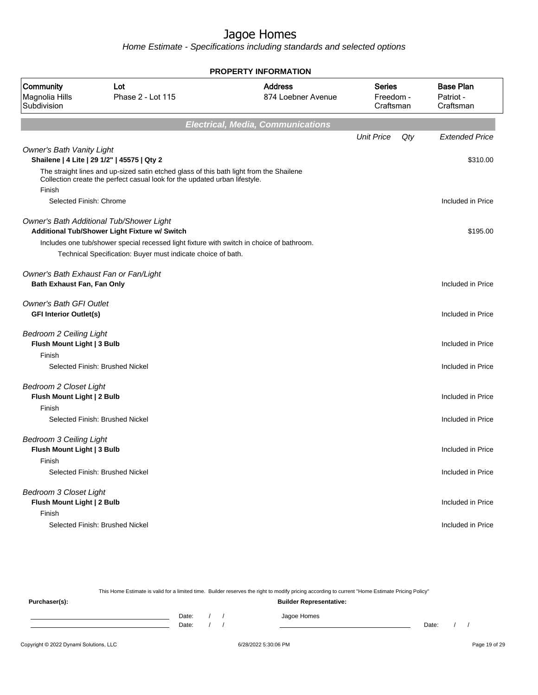Home Estimate - Specifications including standards and selected options

| <b>PROPERTY INFORMATION</b>                                            |                                                                                                                                                                       |                                          |                                         |                                            |  |  |  |
|------------------------------------------------------------------------|-----------------------------------------------------------------------------------------------------------------------------------------------------------------------|------------------------------------------|-----------------------------------------|--------------------------------------------|--|--|--|
| Community<br>Magnolia Hills<br>Subdivision                             | Lot<br>Phase 2 - Lot 115                                                                                                                                              | <b>Address</b><br>874 Loebner Avenue     | <b>Series</b><br>Freedom -<br>Craftsman | <b>Base Plan</b><br>Patriot -<br>Craftsman |  |  |  |
|                                                                        |                                                                                                                                                                       | <b>Electrical, Media, Communications</b> |                                         |                                            |  |  |  |
|                                                                        |                                                                                                                                                                       |                                          | <b>Unit Price</b>                       | Qty<br><b>Extended Price</b>               |  |  |  |
| <b>Owner's Bath Vanity Light</b>                                       | Shailene   4 Lite   29 1/2"   45575   Qty 2                                                                                                                           |                                          |                                         | \$310.00                                   |  |  |  |
| Finish                                                                 | The straight lines and up-sized satin etched glass of this bath light from the Shailene<br>Collection create the perfect casual look for the updated urban lifestyle. |                                          |                                         |                                            |  |  |  |
| Selected Finish: Chrome                                                |                                                                                                                                                                       |                                          |                                         | Included in Price                          |  |  |  |
|                                                                        | Owner's Bath Additional Tub/Shower Light<br>Additional Tub/Shower Light Fixture w/ Switch                                                                             |                                          |                                         | \$195.00                                   |  |  |  |
|                                                                        | Includes one tub/shower special recessed light fixture with switch in choice of bathroom.                                                                             |                                          |                                         |                                            |  |  |  |
|                                                                        | Technical Specification: Buyer must indicate choice of bath.                                                                                                          |                                          |                                         |                                            |  |  |  |
| Bath Exhaust Fan, Fan Only                                             | Owner's Bath Exhaust Fan or Fan/Light                                                                                                                                 |                                          |                                         | Included in Price                          |  |  |  |
| <b>Owner's Bath GFI Outlet</b><br><b>GFI Interior Outlet(s)</b>        |                                                                                                                                                                       |                                          |                                         | Included in Price                          |  |  |  |
| <b>Bedroom 2 Ceiling Light</b><br>Flush Mount Light   3 Bulb<br>Finish |                                                                                                                                                                       |                                          |                                         | Included in Price                          |  |  |  |
|                                                                        | Selected Finish: Brushed Nickel                                                                                                                                       |                                          |                                         | Included in Price                          |  |  |  |
| <b>Bedroom 2 Closet Light</b><br>Flush Mount Light   2 Bulb            |                                                                                                                                                                       |                                          |                                         | Included in Price                          |  |  |  |
| Finish                                                                 | Selected Finish: Brushed Nickel                                                                                                                                       |                                          |                                         | Included in Price                          |  |  |  |
| <b>Bedroom 3 Ceiling Light</b><br>Flush Mount Light   3 Bulb           |                                                                                                                                                                       |                                          |                                         | Included in Price                          |  |  |  |
| Finish                                                                 | Selected Finish: Brushed Nickel                                                                                                                                       |                                          |                                         | Included in Price                          |  |  |  |
| <b>Bedroom 3 Closet Light</b><br>Flush Mount Light   2 Bulb            |                                                                                                                                                                       |                                          |                                         | Included in Price                          |  |  |  |
| Finish                                                                 | Selected Finish: Brushed Nickel                                                                                                                                       |                                          |                                         | Included in Price                          |  |  |  |

This Home Estimate is valid for a limited time. Builder reserves the right to modify pricing according to current "Home Estimate Pricing Policy"

**Purchaser(s): Builder Representative:** Date: / / Jagoe Homes<br>Date: / / Jagoe Homes Date: / / **Date: / / 2006** Date: / / / Date: / / / Date: / / / 2006 Date: / / / 2006 Date: / / / 2006 Date: / / / 2006 Date: / / / 2007 Date: / / / 2007 Date: / / / 2007 Date: / / / 2007 Date: / / / 2007 Date: / / / 2007 D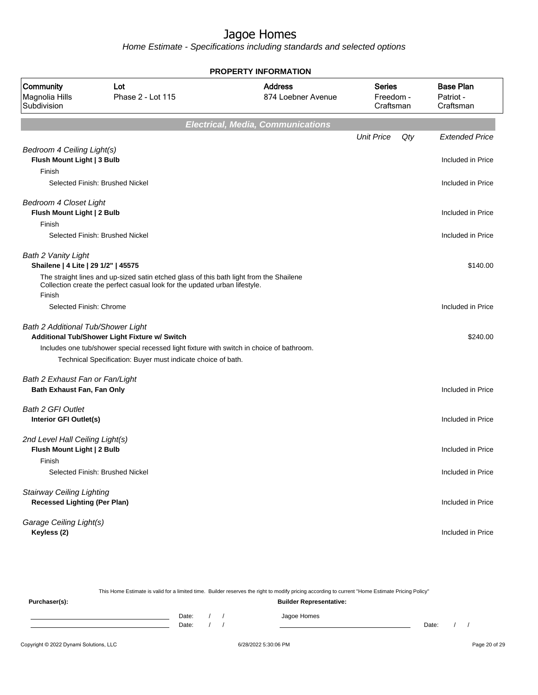| <b>PROPERTY INFORMATION</b>                                       |                                                                                                                                                                       |                                          |                                         |                                            |  |  |  |
|-------------------------------------------------------------------|-----------------------------------------------------------------------------------------------------------------------------------------------------------------------|------------------------------------------|-----------------------------------------|--------------------------------------------|--|--|--|
| Community<br>Magnolia Hills<br>Subdivision                        | Lot<br>Phase 2 - Lot 115                                                                                                                                              | <b>Address</b><br>874 Loebner Avenue     | <b>Series</b><br>Freedom -<br>Craftsman | <b>Base Plan</b><br>Patriot -<br>Craftsman |  |  |  |
|                                                                   |                                                                                                                                                                       | <b>Electrical, Media, Communications</b> |                                         |                                            |  |  |  |
|                                                                   |                                                                                                                                                                       |                                          | <b>Unit Price</b>                       | Qty<br><b>Extended Price</b>               |  |  |  |
| Bedroom 4 Ceiling Light(s)<br>Flush Mount Light   3 Bulb          |                                                                                                                                                                       |                                          |                                         | Included in Price                          |  |  |  |
| Finish                                                            |                                                                                                                                                                       |                                          |                                         |                                            |  |  |  |
|                                                                   | Selected Finish: Brushed Nickel                                                                                                                                       |                                          |                                         | Included in Price                          |  |  |  |
| <b>Bedroom 4 Closet Light</b><br>Flush Mount Light   2 Bulb       |                                                                                                                                                                       |                                          |                                         | Included in Price                          |  |  |  |
| Finish                                                            |                                                                                                                                                                       |                                          |                                         |                                            |  |  |  |
|                                                                   | Selected Finish: Brushed Nickel                                                                                                                                       |                                          |                                         | Included in Price                          |  |  |  |
| <b>Bath 2 Vanity Light</b><br>Shailene   4 Lite   29 1/2"   45575 |                                                                                                                                                                       |                                          |                                         | \$140.00                                   |  |  |  |
|                                                                   | The straight lines and up-sized satin etched glass of this bath light from the Shailene<br>Collection create the perfect casual look for the updated urban lifestyle. |                                          |                                         |                                            |  |  |  |
| Finish                                                            |                                                                                                                                                                       |                                          |                                         |                                            |  |  |  |
| Selected Finish: Chrome                                           |                                                                                                                                                                       |                                          |                                         | Included in Price                          |  |  |  |
| Bath 2 Additional Tub/Shower Light                                |                                                                                                                                                                       |                                          |                                         |                                            |  |  |  |
|                                                                   | Additional Tub/Shower Light Fixture w/ Switch                                                                                                                         |                                          |                                         | \$240.00                                   |  |  |  |
|                                                                   | Includes one tub/shower special recessed light fixture with switch in choice of bathroom.                                                                             |                                          |                                         |                                            |  |  |  |
|                                                                   | Technical Specification: Buyer must indicate choice of bath.                                                                                                          |                                          |                                         |                                            |  |  |  |
| Bath 2 Exhaust Fan or Fan/Light                                   |                                                                                                                                                                       |                                          |                                         |                                            |  |  |  |
| Bath Exhaust Fan, Fan Only                                        |                                                                                                                                                                       |                                          |                                         | Included in Price                          |  |  |  |
| <b>Bath 2 GFI Outlet</b>                                          |                                                                                                                                                                       |                                          |                                         |                                            |  |  |  |
| Interior GFI Outlet(s)                                            |                                                                                                                                                                       |                                          |                                         | Included in Price                          |  |  |  |
| 2nd Level Hall Ceiling Light(s)                                   |                                                                                                                                                                       |                                          |                                         |                                            |  |  |  |
| Flush Mount Light   2 Bulb                                        |                                                                                                                                                                       |                                          |                                         | Included in Price                          |  |  |  |
| Finish                                                            |                                                                                                                                                                       |                                          |                                         |                                            |  |  |  |
|                                                                   | Selected Finish: Brushed Nickel                                                                                                                                       |                                          |                                         | Included in Price                          |  |  |  |
| <b>Stairway Ceiling Lighting</b>                                  |                                                                                                                                                                       |                                          |                                         |                                            |  |  |  |
| <b>Recessed Lighting (Per Plan)</b>                               |                                                                                                                                                                       |                                          |                                         | Included in Price                          |  |  |  |
| Garage Ceiling Light(s)                                           |                                                                                                                                                                       |                                          |                                         |                                            |  |  |  |
| Keyless (2)                                                       |                                                                                                                                                                       |                                          |                                         | Included in Price                          |  |  |  |
|                                                                   |                                                                                                                                                                       |                                          |                                         |                                            |  |  |  |

| This Home Estimate is valid for a limited time. Builder reserves the right to modify pricing according to current "Home Estimate Pricing Policy" |                                |  |  |  |             |       |  |  |
|--------------------------------------------------------------------------------------------------------------------------------------------------|--------------------------------|--|--|--|-------------|-------|--|--|
| Purchaser(s):                                                                                                                                    | <b>Builder Representative:</b> |  |  |  |             |       |  |  |
|                                                                                                                                                  | Date:                          |  |  |  | Jagoe Homes |       |  |  |
|                                                                                                                                                  | Date:                          |  |  |  |             | Date: |  |  |
|                                                                                                                                                  |                                |  |  |  |             |       |  |  |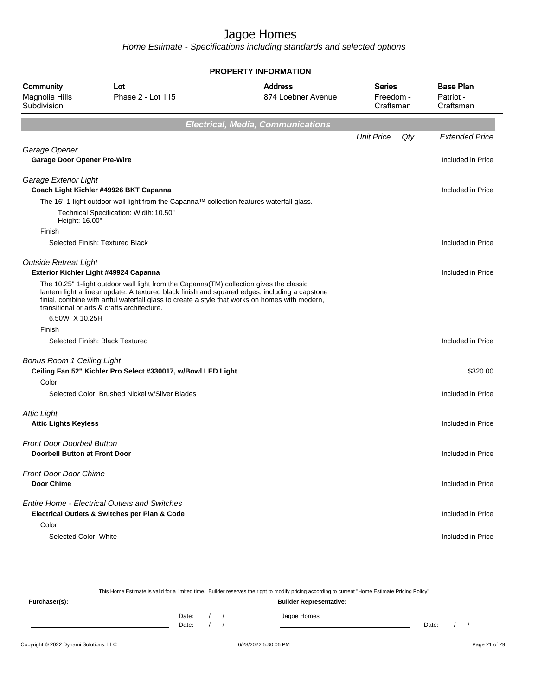| <b>PROPERTY INFORMATION</b>                                               |                                                                                                                                                                                                                                                                                                                                            |                                          |                                         |     |                                            |  |  |  |
|---------------------------------------------------------------------------|--------------------------------------------------------------------------------------------------------------------------------------------------------------------------------------------------------------------------------------------------------------------------------------------------------------------------------------------|------------------------------------------|-----------------------------------------|-----|--------------------------------------------|--|--|--|
| Community<br>Magnolia Hills<br>Subdivision                                | Lot<br>Phase 2 - Lot 115                                                                                                                                                                                                                                                                                                                   | <b>Address</b><br>874 Loebner Avenue     | <b>Series</b><br>Freedom -<br>Craftsman |     | <b>Base Plan</b><br>Patriot -<br>Craftsman |  |  |  |
|                                                                           |                                                                                                                                                                                                                                                                                                                                            | <b>Electrical, Media, Communications</b> |                                         |     |                                            |  |  |  |
|                                                                           |                                                                                                                                                                                                                                                                                                                                            |                                          | <b>Unit Price</b>                       | Qty | <b>Extended Price</b>                      |  |  |  |
| Garage Opener                                                             |                                                                                                                                                                                                                                                                                                                                            |                                          |                                         |     |                                            |  |  |  |
| <b>Garage Door Opener Pre-Wire</b>                                        |                                                                                                                                                                                                                                                                                                                                            |                                          |                                         |     | Included in Price                          |  |  |  |
| Garage Exterior Light                                                     | Coach Light Kichler #49926 BKT Capanna                                                                                                                                                                                                                                                                                                     |                                          |                                         |     | Included in Price                          |  |  |  |
|                                                                           | The 16" 1-light outdoor wall light from the Capanna™ collection features waterfall glass.                                                                                                                                                                                                                                                  |                                          |                                         |     |                                            |  |  |  |
| Height: 16.00"                                                            | Technical Specification: Width: 10.50"                                                                                                                                                                                                                                                                                                     |                                          |                                         |     |                                            |  |  |  |
| Finish                                                                    |                                                                                                                                                                                                                                                                                                                                            |                                          |                                         |     |                                            |  |  |  |
|                                                                           | Selected Finish: Textured Black                                                                                                                                                                                                                                                                                                            |                                          |                                         |     | Included in Price                          |  |  |  |
| <b>Outside Retreat Light</b>                                              |                                                                                                                                                                                                                                                                                                                                            |                                          |                                         |     |                                            |  |  |  |
|                                                                           | Exterior Kichler Light #49924 Capanna                                                                                                                                                                                                                                                                                                      |                                          |                                         |     | Included in Price                          |  |  |  |
|                                                                           | The 10.25" 1-light outdoor wall light from the Capanna(TM) collection gives the classic<br>lantern light a linear update. A textured black finish and squared edges, including a capstone<br>finial, combine with artful waterfall glass to create a style that works on homes with modern,<br>transitional or arts & crafts architecture. |                                          |                                         |     |                                            |  |  |  |
| 6.50W X 10.25H                                                            |                                                                                                                                                                                                                                                                                                                                            |                                          |                                         |     |                                            |  |  |  |
| Finish                                                                    |                                                                                                                                                                                                                                                                                                                                            |                                          |                                         |     |                                            |  |  |  |
|                                                                           | Selected Finish: Black Textured                                                                                                                                                                                                                                                                                                            |                                          |                                         |     | Included in Price                          |  |  |  |
| <b>Bonus Room 1 Ceiling Light</b>                                         |                                                                                                                                                                                                                                                                                                                                            |                                          |                                         |     |                                            |  |  |  |
|                                                                           | Ceiling Fan 52" Kichler Pro Select #330017, w/Bowl LED Light                                                                                                                                                                                                                                                                               |                                          |                                         |     | \$320.00                                   |  |  |  |
| Color                                                                     |                                                                                                                                                                                                                                                                                                                                            |                                          |                                         |     |                                            |  |  |  |
|                                                                           | Selected Color: Brushed Nickel w/Silver Blades                                                                                                                                                                                                                                                                                             |                                          |                                         |     | Included in Price                          |  |  |  |
| <b>Attic Light</b>                                                        |                                                                                                                                                                                                                                                                                                                                            |                                          |                                         |     |                                            |  |  |  |
| <b>Attic Lights Keyless</b>                                               |                                                                                                                                                                                                                                                                                                                                            |                                          |                                         |     | Included in Price                          |  |  |  |
|                                                                           |                                                                                                                                                                                                                                                                                                                                            |                                          |                                         |     |                                            |  |  |  |
| <b>Front Door Doorbell Button</b><br><b>Doorbell Button at Front Door</b> |                                                                                                                                                                                                                                                                                                                                            |                                          |                                         |     | Included in Price                          |  |  |  |
| Front Door Door Chime                                                     |                                                                                                                                                                                                                                                                                                                                            |                                          |                                         |     |                                            |  |  |  |
| <b>Door Chime</b>                                                         |                                                                                                                                                                                                                                                                                                                                            |                                          |                                         |     | Included in Price                          |  |  |  |
|                                                                           |                                                                                                                                                                                                                                                                                                                                            |                                          |                                         |     |                                            |  |  |  |
|                                                                           | <b>Entire Home - Electrical Outlets and Switches</b>                                                                                                                                                                                                                                                                                       |                                          |                                         |     |                                            |  |  |  |
|                                                                           | Electrical Outlets & Switches per Plan & Code                                                                                                                                                                                                                                                                                              |                                          |                                         |     | Included in Price                          |  |  |  |
| Color                                                                     |                                                                                                                                                                                                                                                                                                                                            |                                          |                                         |     |                                            |  |  |  |
| Selected Color: White                                                     |                                                                                                                                                                                                                                                                                                                                            |                                          |                                         |     | Included in Price                          |  |  |  |

| This Home Estimate is valid for a limited time. Builder reserves the right to modify pricing according to current "Home Estimate Pricing Policy" |                                |  |  |             |       |  |  |  |
|--------------------------------------------------------------------------------------------------------------------------------------------------|--------------------------------|--|--|-------------|-------|--|--|--|
| Purchaser(s):                                                                                                                                    | <b>Builder Representative:</b> |  |  |             |       |  |  |  |
|                                                                                                                                                  | Date:                          |  |  | Jagoe Homes |       |  |  |  |
|                                                                                                                                                  | Date:                          |  |  |             | Date: |  |  |  |
|                                                                                                                                                  |                                |  |  |             |       |  |  |  |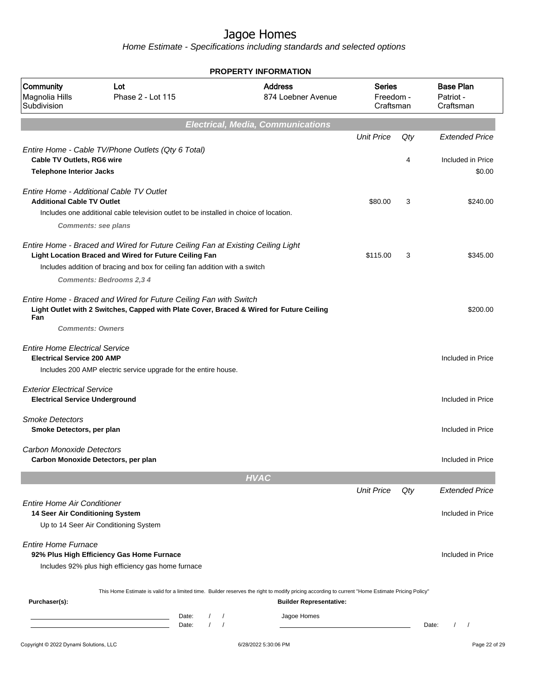| <b>PROPERTY INFORMATION</b>                                                 |                                                                                                                                                                                                                                                             |                                                                                                                                                                                                   |                                         |          |                                                      |  |  |  |  |  |  |
|-----------------------------------------------------------------------------|-------------------------------------------------------------------------------------------------------------------------------------------------------------------------------------------------------------------------------------------------------------|---------------------------------------------------------------------------------------------------------------------------------------------------------------------------------------------------|-----------------------------------------|----------|------------------------------------------------------|--|--|--|--|--|--|
| Community<br>Magnolia Hills<br>Subdivision                                  | Lot<br>Phase 2 - Lot 115                                                                                                                                                                                                                                    | <b>Address</b><br>874 Loebner Avenue                                                                                                                                                              | <b>Series</b><br>Freedom -<br>Craftsman |          | <b>Base Plan</b><br>Patriot -<br>Craftsman           |  |  |  |  |  |  |
| <b>Electrical, Media, Communications</b>                                    |                                                                                                                                                                                                                                                             |                                                                                                                                                                                                   |                                         |          |                                                      |  |  |  |  |  |  |
| Cable TV Outlets, RG6 wire<br><b>Telephone Interior Jacks</b>               | Entire Home - Cable TV/Phone Outlets (Qty 6 Total)                                                                                                                                                                                                          |                                                                                                                                                                                                   | <b>Unit Price</b>                       | Qty<br>4 | <b>Extended Price</b><br>Included in Price<br>\$0.00 |  |  |  |  |  |  |
| <b>Additional Cable TV Outlet</b>                                           | Entire Home - Additional Cable TV Outlet<br>Includes one additional cable television outlet to be installed in choice of location.<br><b>Comments: see plans</b>                                                                                            |                                                                                                                                                                                                   | \$80.00                                 | 3        | \$240.00                                             |  |  |  |  |  |  |
|                                                                             | Entire Home - Braced and Wired for Future Ceiling Fan at Existing Ceiling Light<br>Light Location Braced and Wired for Future Ceiling Fan<br>Includes addition of bracing and box for ceiling fan addition with a switch<br><b>Comments: Bedrooms 2,3 4</b> |                                                                                                                                                                                                   | \$115.00                                | 3        | \$345.00                                             |  |  |  |  |  |  |
| Fan<br><b>Comments: Owners</b>                                              | Entire Home - Braced and Wired for Future Ceiling Fan with Switch<br>Light Outlet with 2 Switches, Capped with Plate Cover, Braced & Wired for Future Ceiling                                                                                               |                                                                                                                                                                                                   |                                         |          | \$200.00                                             |  |  |  |  |  |  |
| <b>Entire Home Electrical Service</b><br><b>Electrical Service 200 AMP</b>  | Includes 200 AMP electric service upgrade for the entire house.                                                                                                                                                                                             |                                                                                                                                                                                                   |                                         |          | Included in Price                                    |  |  |  |  |  |  |
| <b>Exterior Electrical Service</b><br><b>Electrical Service Underground</b> |                                                                                                                                                                                                                                                             |                                                                                                                                                                                                   |                                         |          | Included in Price                                    |  |  |  |  |  |  |
| <b>Smoke Detectors</b><br>Smoke Detectors, per plan                         |                                                                                                                                                                                                                                                             |                                                                                                                                                                                                   |                                         |          | Included in Price                                    |  |  |  |  |  |  |
| Carbon Monoxide Detectors<br>Carbon Monoxide Detectors, per plan            |                                                                                                                                                                                                                                                             |                                                                                                                                                                                                   |                                         |          | Included in Price                                    |  |  |  |  |  |  |
|                                                                             |                                                                                                                                                                                                                                                             | <b>HVAC</b>                                                                                                                                                                                       |                                         |          |                                                      |  |  |  |  |  |  |
| <b>Entire Home Air Conditioner</b><br>14 Seer Air Conditioning System       |                                                                                                                                                                                                                                                             |                                                                                                                                                                                                   | <b>Unit Price</b>                       | Qty      | <b>Extended Price</b><br>Included in Price           |  |  |  |  |  |  |
| <b>Entire Home Furnace</b>                                                  | Up to 14 Seer Air Conditioning System<br>92% Plus High Efficiency Gas Home Furnace<br>Includes 92% plus high efficiency gas home furnace                                                                                                                    |                                                                                                                                                                                                   |                                         |          | Included in Price                                    |  |  |  |  |  |  |
| Purchaser(s):                                                               | Date:<br>Date:                                                                                                                                                                                                                                              | This Home Estimate is valid for a limited time. Builder reserves the right to modify pricing according to current "Home Estimate Pricing Policy"<br><b>Builder Representative:</b><br>Jagoe Homes |                                         |          | $\prime$<br>$\sqrt{ }$<br>Date:                      |  |  |  |  |  |  |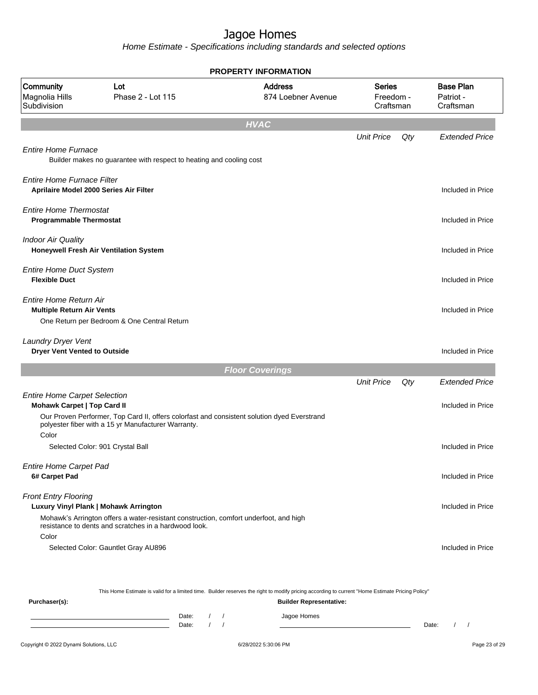Home Estimate - Specifications including standards and selected options

|                                                                    |                                                                                                                                                                                         | <b>PROPERTY INFORMATION</b>          |                                         |     |                                            |
|--------------------------------------------------------------------|-----------------------------------------------------------------------------------------------------------------------------------------------------------------------------------------|--------------------------------------|-----------------------------------------|-----|--------------------------------------------|
| Community<br>Magnolia Hills<br>Subdivision                         | Lot<br>Phase 2 - Lot 115                                                                                                                                                                | <b>Address</b><br>874 Loebner Avenue | <b>Series</b><br>Freedom -<br>Craftsman |     | <b>Base Plan</b><br>Patriot -<br>Craftsman |
|                                                                    |                                                                                                                                                                                         | <b>HVAC</b>                          |                                         |     |                                            |
| <b>Entire Home Furnace</b>                                         | Builder makes no guarantee with respect to heating and cooling cost                                                                                                                     |                                      | <b>Unit Price</b>                       | Qty | <b>Extended Price</b>                      |
| <b>Entire Home Furnace Filter</b>                                  | Aprilaire Model 2000 Series Air Filter                                                                                                                                                  |                                      |                                         |     | Included in Price                          |
| <b>Entire Home Thermostat</b><br><b>Programmable Thermostat</b>    |                                                                                                                                                                                         |                                      |                                         |     | Included in Price                          |
| <b>Indoor Air Quality</b>                                          | Honeywell Fresh Air Ventilation System                                                                                                                                                  |                                      |                                         |     | Included in Price                          |
| <b>Entire Home Duct System</b><br><b>Flexible Duct</b>             |                                                                                                                                                                                         |                                      |                                         |     | Included in Price                          |
| <b>Entire Home Return Air</b><br><b>Multiple Return Air Vents</b>  | One Return per Bedroom & One Central Return                                                                                                                                             |                                      |                                         |     | Included in Price                          |
| Laundry Dryer Vent<br><b>Dryer Vent Vented to Outside</b>          |                                                                                                                                                                                         |                                      |                                         |     | Included in Price                          |
|                                                                    |                                                                                                                                                                                         | <b>Floor Coverings</b>               |                                         |     |                                            |
|                                                                    |                                                                                                                                                                                         |                                      | <b>Unit Price</b>                       | Qty | <b>Extended Price</b>                      |
| <b>Entire Home Carpet Selection</b><br>Mohawk Carpet   Top Card II | Our Proven Performer, Top Card II, offers colorfast and consistent solution dyed Everstrand<br>polyester fiber with a 15 yr Manufacturer Warranty.                                      |                                      |                                         |     | Included in Price                          |
| Color                                                              | Selected Color: 901 Crystal Ball                                                                                                                                                        |                                      |                                         |     | Included in Price                          |
| <b>Entire Home Carpet Pad</b><br>6# Carpet Pad                     |                                                                                                                                                                                         |                                      |                                         |     | Included in Price                          |
| <b>Front Entry Flooring</b>                                        | Luxury Vinyl Plank   Mohawk Arrington<br>Mohawk's Arrington offers a water-resistant construction, comfort underfoot, and high<br>resistance to dents and scratches in a hardwood look. |                                      |                                         |     | Included in Price                          |
| Color                                                              | Selected Color: Gauntlet Gray AU896                                                                                                                                                     |                                      |                                         |     | Included in Price                          |

This Home Estimate is valid for a limited time. Builder reserves the right to modify pricing according to current "Home Estimate Pricing Policy"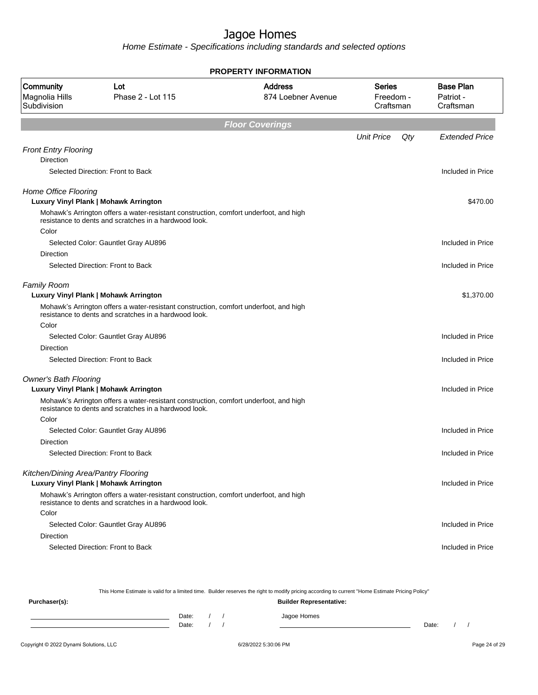Home Estimate - Specifications including standards and selected options

| <b>PROPERTY INFORMATION</b>                     |                                                                                                                                                |                                      |                                         |     |                                            |  |  |  |  |
|-------------------------------------------------|------------------------------------------------------------------------------------------------------------------------------------------------|--------------------------------------|-----------------------------------------|-----|--------------------------------------------|--|--|--|--|
| Community<br>Magnolia Hills<br>Subdivision      | Lot<br>Phase 2 - Lot 115                                                                                                                       | <b>Address</b><br>874 Loebner Avenue | <b>Series</b><br>Freedom -<br>Craftsman |     | <b>Base Plan</b><br>Patriot -<br>Craftsman |  |  |  |  |
|                                                 |                                                                                                                                                | <b>Floor Coverings</b>               |                                         |     |                                            |  |  |  |  |
|                                                 |                                                                                                                                                |                                      | <b>Unit Price</b>                       | Qty | <b>Extended Price</b>                      |  |  |  |  |
| <b>Front Entry Flooring</b><br><b>Direction</b> |                                                                                                                                                |                                      |                                         |     |                                            |  |  |  |  |
|                                                 | Selected Direction: Front to Back                                                                                                              |                                      |                                         |     | Included in Price                          |  |  |  |  |
| Home Office Flooring                            | Luxury Vinyl Plank   Mohawk Arrington                                                                                                          |                                      |                                         |     | \$470.00                                   |  |  |  |  |
| Color                                           | Mohawk's Arrington offers a water-resistant construction, comfort underfoot, and high<br>resistance to dents and scratches in a hardwood look. |                                      |                                         |     |                                            |  |  |  |  |
|                                                 | Selected Color: Gauntlet Gray AU896                                                                                                            |                                      |                                         |     | Included in Price                          |  |  |  |  |
| Direction                                       |                                                                                                                                                |                                      |                                         |     |                                            |  |  |  |  |
|                                                 | Selected Direction: Front to Back                                                                                                              |                                      |                                         |     | Included in Price                          |  |  |  |  |
| <b>Family Room</b>                              | Luxury Vinyl Plank   Mohawk Arrington                                                                                                          |                                      |                                         |     | \$1,370.00                                 |  |  |  |  |
|                                                 | Mohawk's Arrington offers a water-resistant construction, comfort underfoot, and high<br>resistance to dents and scratches in a hardwood look. |                                      |                                         |     |                                            |  |  |  |  |
| Color                                           |                                                                                                                                                |                                      |                                         |     |                                            |  |  |  |  |
| <b>Direction</b>                                | Selected Color: Gauntlet Gray AU896                                                                                                            |                                      |                                         |     | Included in Price                          |  |  |  |  |
|                                                 | Selected Direction: Front to Back                                                                                                              |                                      |                                         |     | Included in Price                          |  |  |  |  |
|                                                 |                                                                                                                                                |                                      |                                         |     |                                            |  |  |  |  |
| <b>Owner's Bath Flooring</b>                    |                                                                                                                                                |                                      |                                         |     |                                            |  |  |  |  |
|                                                 | Luxury Vinyl Plank   Mohawk Arrington                                                                                                          |                                      |                                         |     | Included in Price                          |  |  |  |  |
|                                                 | Mohawk's Arrington offers a water-resistant construction, comfort underfoot, and high<br>resistance to dents and scratches in a hardwood look. |                                      |                                         |     |                                            |  |  |  |  |
| Color                                           |                                                                                                                                                |                                      |                                         |     |                                            |  |  |  |  |
| Direction                                       | Selected Color: Gauntlet Gray AU896                                                                                                            |                                      |                                         |     | Included in Price                          |  |  |  |  |
|                                                 | Selected Direction: Front to Back                                                                                                              |                                      |                                         |     | Included in Price                          |  |  |  |  |
| Kitchen/Dining Area/Pantry Flooring             |                                                                                                                                                |                                      |                                         |     |                                            |  |  |  |  |
|                                                 | <b>Luxury Vinyl Plank   Mohawk Arrington</b>                                                                                                   |                                      |                                         |     | Included in Price                          |  |  |  |  |
|                                                 | Mohawk's Arrington offers a water-resistant construction, comfort underfoot, and high<br>resistance to dents and scratches in a hardwood look. |                                      |                                         |     |                                            |  |  |  |  |
| Color                                           |                                                                                                                                                |                                      |                                         |     |                                            |  |  |  |  |
|                                                 | Selected Color: Gauntlet Gray AU896                                                                                                            |                                      |                                         |     | Included in Price                          |  |  |  |  |
| Direction                                       |                                                                                                                                                |                                      |                                         |     |                                            |  |  |  |  |
|                                                 | Selected Direction: Front to Back                                                                                                              |                                      |                                         |     | Included in Price                          |  |  |  |  |
|                                                 |                                                                                                                                                |                                      |                                         |     |                                            |  |  |  |  |

This Home Estimate is valid for a limited time. Builder reserves the right to modify pricing according to current "Home Estimate Pricing Policy"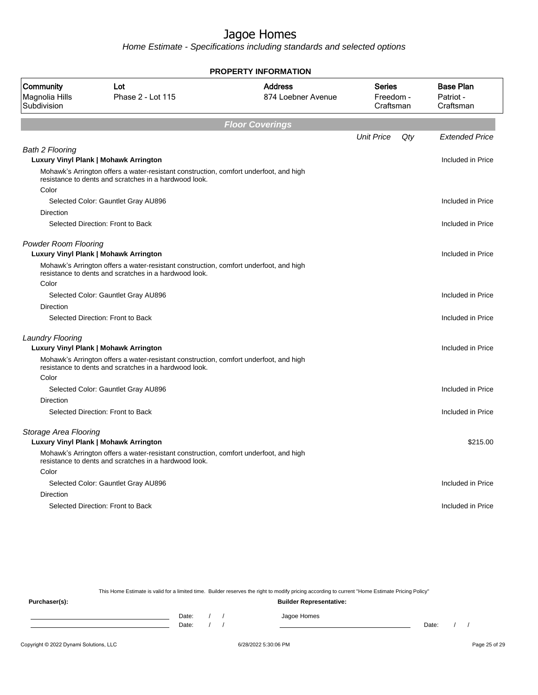Home Estimate - Specifications including standards and selected options

|                                            |                                                                                                                                                | <b>PROPERTY INFORMATION</b>          |                                  |     |                                            |
|--------------------------------------------|------------------------------------------------------------------------------------------------------------------------------------------------|--------------------------------------|----------------------------------|-----|--------------------------------------------|
| Community<br>Magnolia Hills<br>Subdivision | Lot<br>Phase 2 - Lot 115                                                                                                                       | <b>Address</b><br>874 Loebner Avenue | Series<br>Freedom -<br>Craftsman |     | <b>Base Plan</b><br>Patriot -<br>Craftsman |
|                                            |                                                                                                                                                | <b>Floor Coverings</b>               |                                  |     |                                            |
|                                            |                                                                                                                                                |                                      | <b>Unit Price</b>                | Qty | <b>Extended Price</b>                      |
| <b>Bath 2 Flooring</b>                     | Luxury Vinyl Plank   Mohawk Arrington                                                                                                          |                                      |                                  |     | Included in Price                          |
|                                            | Mohawk's Arrington offers a water-resistant construction, comfort underfoot, and high<br>resistance to dents and scratches in a hardwood look. |                                      |                                  |     |                                            |
| Color                                      |                                                                                                                                                |                                      |                                  |     |                                            |
|                                            | Selected Color: Gauntlet Gray AU896                                                                                                            |                                      |                                  |     | Included in Price                          |
| Direction                                  | Selected Direction: Front to Back                                                                                                              |                                      |                                  |     | Included in Price                          |
|                                            |                                                                                                                                                |                                      |                                  |     |                                            |
| <b>Powder Room Flooring</b>                | Luxury Vinyl Plank   Mohawk Arrington                                                                                                          |                                      |                                  |     | Included in Price                          |
|                                            | Mohawk's Arrington offers a water-resistant construction, comfort underfoot, and high<br>resistance to dents and scratches in a hardwood look. |                                      |                                  |     |                                            |
| Color                                      |                                                                                                                                                |                                      |                                  |     |                                            |
|                                            | Selected Color: Gauntlet Gray AU896                                                                                                            |                                      |                                  |     | Included in Price                          |
| Direction                                  |                                                                                                                                                |                                      |                                  |     |                                            |
|                                            | Selected Direction: Front to Back                                                                                                              |                                      |                                  |     | Included in Price                          |
| <b>Laundry Flooring</b>                    |                                                                                                                                                |                                      |                                  |     |                                            |
|                                            | Luxury Vinyl Plank   Mohawk Arrington                                                                                                          |                                      |                                  |     | Included in Price                          |
|                                            | Mohawk's Arrington offers a water-resistant construction, comfort underfoot, and high<br>resistance to dents and scratches in a hardwood look. |                                      |                                  |     |                                            |
| Color                                      |                                                                                                                                                |                                      |                                  |     |                                            |
|                                            | Selected Color: Gauntlet Gray AU896                                                                                                            |                                      |                                  |     | Included in Price                          |
| Direction                                  |                                                                                                                                                |                                      |                                  |     |                                            |
|                                            | Selected Direction: Front to Back                                                                                                              |                                      |                                  |     | Included in Price                          |
| Storage Area Flooring                      |                                                                                                                                                |                                      |                                  |     |                                            |
|                                            | Luxury Vinyl Plank   Mohawk Arrington                                                                                                          |                                      |                                  |     | \$215.00                                   |
|                                            | Mohawk's Arrington offers a water-resistant construction, comfort underfoot, and high<br>resistance to dents and scratches in a hardwood look. |                                      |                                  |     |                                            |
| Color                                      |                                                                                                                                                |                                      |                                  |     |                                            |
|                                            | Selected Color: Gauntlet Gray AU896                                                                                                            |                                      |                                  |     | Included in Price                          |
| Direction                                  |                                                                                                                                                |                                      |                                  |     |                                            |
|                                            | Selected Direction: Front to Back                                                                                                              |                                      |                                  |     | Included in Price                          |
|                                            |                                                                                                                                                |                                      |                                  |     |                                            |

This Home Estimate is valid for a limited time. Builder reserves the right to modify pricing according to current "Home Estimate Pricing Policy"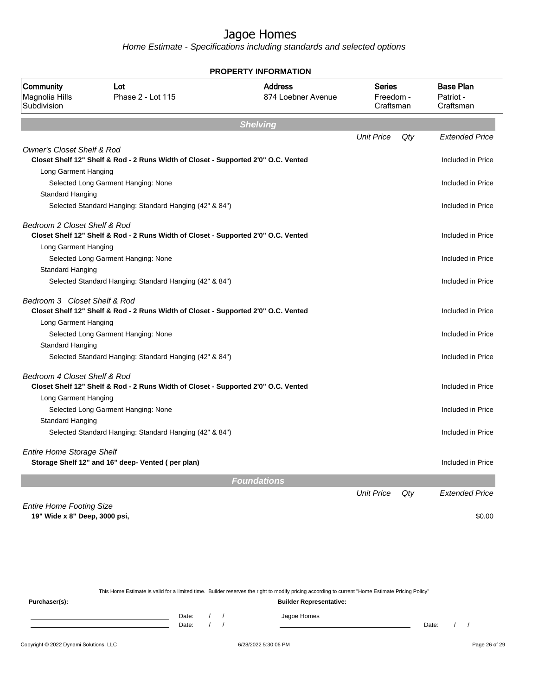Home Estimate - Specifications including standards and selected options

|                                                         |                                                                                    | PROPERTY INFORMATION                 |                                         |     |                                            |  |  |  |  |
|---------------------------------------------------------|------------------------------------------------------------------------------------|--------------------------------------|-----------------------------------------|-----|--------------------------------------------|--|--|--|--|
| Community<br>Magnolia Hills<br>Subdivision              | Lot<br>Phase 2 - Lot 115                                                           | <b>Address</b><br>874 Loebner Avenue | <b>Series</b><br>Freedom -<br>Craftsman |     | <b>Base Plan</b><br>Patriot -<br>Craftsman |  |  |  |  |
|                                                         |                                                                                    | <b>Shelving</b>                      |                                         |     |                                            |  |  |  |  |
|                                                         |                                                                                    |                                      | <b>Unit Price</b>                       | Qty | <b>Extended Price</b>                      |  |  |  |  |
| <b>Owner's Closet Shelf &amp; Rod</b>                   |                                                                                    |                                      |                                         |     |                                            |  |  |  |  |
|                                                         | Closet Shelf 12" Shelf & Rod - 2 Runs Width of Closet - Supported 2'0" O.C. Vented |                                      |                                         |     | Included in Price                          |  |  |  |  |
| Long Garment Hanging                                    |                                                                                    |                                      |                                         |     |                                            |  |  |  |  |
|                                                         | Selected Long Garment Hanging: None                                                |                                      |                                         |     | Included in Price                          |  |  |  |  |
| Standard Hanging                                        |                                                                                    |                                      |                                         |     |                                            |  |  |  |  |
|                                                         | Selected Standard Hanging: Standard Hanging (42" & 84")                            |                                      |                                         |     | Included in Price                          |  |  |  |  |
| Bedroom 2 Closet Shelf & Rod                            |                                                                                    |                                      |                                         |     |                                            |  |  |  |  |
|                                                         | Closet Shelf 12" Shelf & Rod - 2 Runs Width of Closet - Supported 2'0" O.C. Vented |                                      |                                         |     | Included in Price                          |  |  |  |  |
| Long Garment Hanging                                    |                                                                                    |                                      |                                         |     |                                            |  |  |  |  |
|                                                         | Selected Long Garment Hanging: None                                                |                                      |                                         |     | Included in Price                          |  |  |  |  |
| Standard Hanging                                        |                                                                                    |                                      |                                         |     | Included in Price                          |  |  |  |  |
|                                                         | Selected Standard Hanging: Standard Hanging (42" & 84")                            |                                      |                                         |     |                                            |  |  |  |  |
| Bedroom 3 Closet Shelf & Rod                            | Closet Shelf 12" Shelf & Rod - 2 Runs Width of Closet - Supported 2'0" O.C. Vented |                                      |                                         |     | Included in Price                          |  |  |  |  |
| Long Garment Hanging                                    |                                                                                    |                                      |                                         |     |                                            |  |  |  |  |
|                                                         | Selected Long Garment Hanging: None                                                |                                      |                                         |     | Included in Price                          |  |  |  |  |
| Standard Hanging                                        |                                                                                    |                                      |                                         |     |                                            |  |  |  |  |
| Selected Standard Hanging: Standard Hanging (42" & 84") |                                                                                    |                                      |                                         |     | Included in Price                          |  |  |  |  |
| Bedroom 4 Closet Shelf & Rod                            |                                                                                    |                                      |                                         |     |                                            |  |  |  |  |
|                                                         | Closet Shelf 12" Shelf & Rod - 2 Runs Width of Closet - Supported 2'0" O.C. Vented |                                      |                                         |     | Included in Price                          |  |  |  |  |
| Long Garment Hanging                                    |                                                                                    |                                      |                                         |     |                                            |  |  |  |  |
|                                                         | Selected Long Garment Hanging: None                                                |                                      |                                         |     | Included in Price                          |  |  |  |  |
| Standard Hanging                                        |                                                                                    |                                      |                                         |     |                                            |  |  |  |  |
|                                                         | Selected Standard Hanging: Standard Hanging (42" & 84")                            |                                      |                                         |     | Included in Price                          |  |  |  |  |
| <b>Entire Home Storage Shelf</b>                        |                                                                                    |                                      |                                         |     |                                            |  |  |  |  |
|                                                         | Storage Shelf 12" and 16" deep- Vented (per plan)                                  |                                      |                                         |     | Included in Price                          |  |  |  |  |
|                                                         |                                                                                    | <b>Foundations</b>                   |                                         |     |                                            |  |  |  |  |
|                                                         |                                                                                    |                                      | <b>Unit Price</b>                       | Qty | <b>Extended Price</b>                      |  |  |  |  |
| <b>Entire Home Footing Size</b>                         |                                                                                    |                                      |                                         |     |                                            |  |  |  |  |
| 19" Wide x 8" Deep, 3000 psi,                           |                                                                                    |                                      |                                         |     | \$0.00                                     |  |  |  |  |
|                                                         |                                                                                    |                                      |                                         |     |                                            |  |  |  |  |

**PROPERTY INFORMATION**

This Home Estimate is valid for a limited time. Builder reserves the right to modify pricing according to current "Home Estimate Pricing Policy" **Purchaser(s): Builder Representative:** Date: / / Jagoe Homes<br>Date: / / Jagoe Homes Date: / / **Date: / / 2006** Date: / / / Date: / / / Date: / / / 2006 Date: / / / 2006 Date: / / / 2006 Date: / / / 2006 Date: / / / 2007 Date: / / / 2007 Date: / / / 2007 Date: / / / 2007 Date: / / / 2007 Date: / / / 2007 D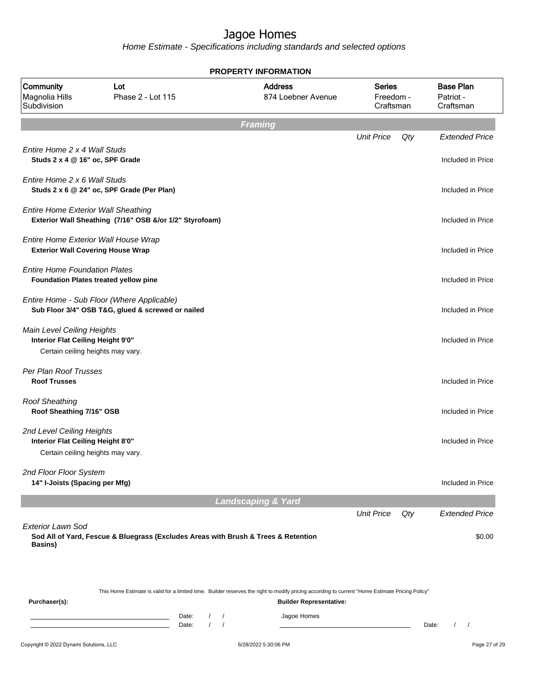|                                                                                                      |                                                                                                 |                            |                               | <b>PROPERTY INFORMATION</b>                                                                                                                                                        |                                         |     |                                            |
|------------------------------------------------------------------------------------------------------|-------------------------------------------------------------------------------------------------|----------------------------|-------------------------------|------------------------------------------------------------------------------------------------------------------------------------------------------------------------------------|-----------------------------------------|-----|--------------------------------------------|
| Community<br>Magnolia Hills<br>Subdivision                                                           | Lot<br>Phase 2 - Lot 115                                                                        |                            |                               | <b>Address</b><br>874 Loebner Avenue                                                                                                                                               | <b>Series</b><br>Freedom -<br>Craftsman |     | <b>Base Plan</b><br>Patriot -<br>Craftsman |
|                                                                                                      |                                                                                                 |                            | <b>Framing</b>                |                                                                                                                                                                                    |                                         |     |                                            |
| Entire Home 2 x 4 Wall Studs<br>Studs 2 x 4 @ 16" oc, SPF Grade                                      |                                                                                                 |                            |                               |                                                                                                                                                                                    | <b>Unit Price</b>                       | Qty | <b>Extended Price</b><br>Included in Price |
| Entire Home 2 x 6 Wall Studs                                                                         | Studs 2 x 6 @ 24" oc, SPF Grade (Per Plan)                                                      |                            |                               |                                                                                                                                                                                    |                                         |     | Included in Price                          |
| <b>Entire Home Exterior Wall Sheathing</b>                                                           | Exterior Wall Sheathing (7/16" OSB &/or 1/2" Styrofoam)                                         |                            |                               |                                                                                                                                                                                    |                                         |     | Included in Price                          |
| Entire Home Exterior Wall House Wrap<br><b>Exterior Wall Covering House Wrap</b>                     |                                                                                                 |                            |                               |                                                                                                                                                                                    |                                         |     | Included in Price                          |
| <b>Entire Home Foundation Plates</b>                                                                 | Foundation Plates treated yellow pine                                                           |                            |                               |                                                                                                                                                                                    |                                         |     | Included in Price                          |
|                                                                                                      | Entire Home - Sub Floor (Where Applicable)<br>Sub Floor 3/4" OSB T&G, glued & screwed or nailed |                            |                               |                                                                                                                                                                                    |                                         |     | Included in Price                          |
| Main Level Ceiling Heights<br>Interior Flat Ceiling Height 9'0"<br>Certain ceiling heights may vary. |                                                                                                 |                            |                               |                                                                                                                                                                                    |                                         |     | Included in Price                          |
| Per Plan Roof Trusses<br><b>Roof Trusses</b>                                                         |                                                                                                 |                            |                               |                                                                                                                                                                                    |                                         |     | Included in Price                          |
| <b>Roof Sheathing</b><br>Roof Sheathing 7/16" OSB                                                    |                                                                                                 |                            |                               |                                                                                                                                                                                    |                                         |     | Included in Price                          |
| 2nd Level Ceiling Heights<br>Interior Flat Ceiling Height 8'0"<br>Certain ceiling heights may vary.  |                                                                                                 |                            |                               |                                                                                                                                                                                    |                                         |     | Included in Price                          |
| 2nd Floor Floor System<br>14" I-Joists (Spacing per Mfg)                                             |                                                                                                 |                            |                               |                                                                                                                                                                                    |                                         |     | Included in Price                          |
|                                                                                                      |                                                                                                 |                            | <b>Landscaping &amp; Yard</b> |                                                                                                                                                                                    |                                         |     |                                            |
| <b>Exterior Lawn Sod</b><br><b>Basins</b> )                                                          | Sod All of Yard, Fescue & Bluegrass (Excludes Areas with Brush & Trees & Retention              |                            |                               |                                                                                                                                                                                    | <b>Unit Price</b>                       | Qty | <b>Extended Price</b><br>\$0.00            |
| Purchaser(s):                                                                                        |                                                                                                 |                            |                               | This Home Estimate is valid for a limited time. Builder reserves the right to modify pricing according to current "Home Estimate Pricing Policy"<br><b>Builder Representative:</b> |                                         |     |                                            |
|                                                                                                      |                                                                                                 | Date:<br>$\prime$<br>Date: | $\prime$<br>$\prime$          | Jagoe Homes                                                                                                                                                                        |                                         |     | $\left  \right $<br>Date:                  |
| Copyright © 2022 Dynami Solutions, LLC                                                               |                                                                                                 |                            |                               | 6/28/2022 5:30:06 PM                                                                                                                                                               |                                         |     | Page 27 of 29                              |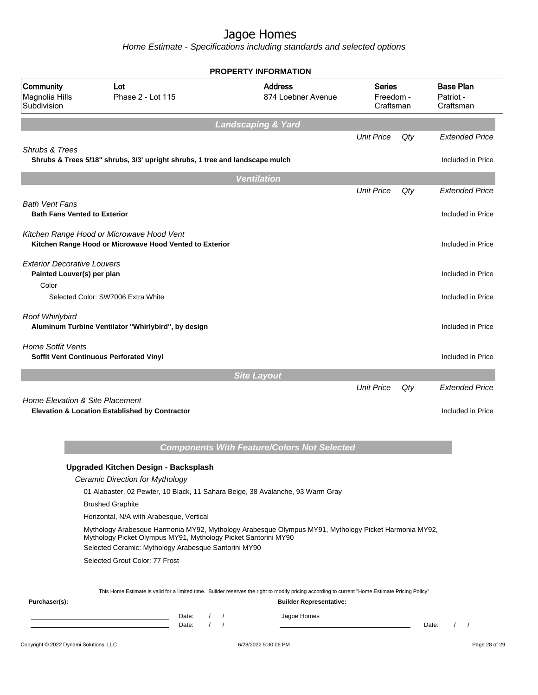|                                                                  |                                                                                                                        |                                                      | <b>PROPERTY INFORMATION</b>                                                                                                                                                        |                                         |     |                                            |
|------------------------------------------------------------------|------------------------------------------------------------------------------------------------------------------------|------------------------------------------------------|------------------------------------------------------------------------------------------------------------------------------------------------------------------------------------|-----------------------------------------|-----|--------------------------------------------|
| Community<br>Magnolia Hills<br>Subdivision                       | Lot<br>Phase 2 - Lot 115                                                                                               |                                                      | <b>Address</b><br>874 Loebner Avenue                                                                                                                                               | <b>Series</b><br>Freedom -<br>Craftsman |     | <b>Base Plan</b><br>Patriot -<br>Craftsman |
|                                                                  |                                                                                                                        |                                                      | Landscaping & Yard                                                                                                                                                                 |                                         |     |                                            |
|                                                                  |                                                                                                                        |                                                      |                                                                                                                                                                                    | <b>Unit Price</b>                       | Qty | <b>Extended Price</b>                      |
| Shrubs & Trees                                                   | Shrubs & Trees 5/18" shrubs, 3/3' upright shrubs, 1 tree and landscape mulch                                           |                                                      |                                                                                                                                                                                    |                                         |     | Included in Price                          |
|                                                                  |                                                                                                                        |                                                      | <b>Ventilation</b>                                                                                                                                                                 |                                         |     |                                            |
|                                                                  |                                                                                                                        |                                                      |                                                                                                                                                                                    | <b>Unit Price</b>                       | Qty | <b>Extended Price</b>                      |
| <b>Bath Vent Fans</b><br><b>Bath Fans Vented to Exterior</b>     |                                                                                                                        |                                                      |                                                                                                                                                                                    |                                         |     | Included in Price                          |
|                                                                  | Kitchen Range Hood or Microwave Hood Vent<br>Kitchen Range Hood or Microwave Hood Vented to Exterior                   |                                                      |                                                                                                                                                                                    |                                         |     | Included in Price                          |
| <b>Exterior Decorative Louvers</b><br>Painted Louver(s) per plan |                                                                                                                        |                                                      |                                                                                                                                                                                    |                                         |     | Included in Price                          |
| Color                                                            | Selected Color: SW7006 Extra White                                                                                     |                                                      |                                                                                                                                                                                    |                                         |     | Included in Price                          |
| Roof Whirlybird                                                  | Aluminum Turbine Ventilator "Whirlybird", by design                                                                    |                                                      |                                                                                                                                                                                    |                                         |     | Included in Price                          |
| <b>Home Soffit Vents</b>                                         | Soffit Vent Continuous Perforated Vinyl                                                                                |                                                      |                                                                                                                                                                                    |                                         |     | Included in Price                          |
|                                                                  |                                                                                                                        |                                                      | <b>Site Layout</b>                                                                                                                                                                 |                                         |     |                                            |
|                                                                  |                                                                                                                        |                                                      |                                                                                                                                                                                    | <b>Unit Price</b>                       | Qty | <b>Extended Price</b>                      |
| Home Elevation & Site Placement                                  | Elevation & Location Established by Contractor                                                                         |                                                      |                                                                                                                                                                                    |                                         |     | Included in Price                          |
|                                                                  |                                                                                                                        |                                                      | <b>Components With Feature/Colors Not Selected</b>                                                                                                                                 |                                         |     |                                            |
|                                                                  | <b>Upgraded Kitchen Design - Backsplash</b>                                                                            |                                                      |                                                                                                                                                                                    |                                         |     |                                            |
|                                                                  | Ceramic Direction for Mythology                                                                                        |                                                      |                                                                                                                                                                                    |                                         |     |                                            |
|                                                                  |                                                                                                                        |                                                      | 01 Alabaster, 02 Pewter, 10 Black, 11 Sahara Beige, 38 Avalanche, 93 Warm Gray                                                                                                     |                                         |     |                                            |
|                                                                  | <b>Brushed Graphite</b>                                                                                                |                                                      |                                                                                                                                                                                    |                                         |     |                                            |
|                                                                  | Horizontal, N/A with Arabesque, Vertical                                                                               |                                                      |                                                                                                                                                                                    |                                         |     |                                            |
|                                                                  | Mythology Picket Olympus MY91, Mythology Picket Santorini MY90<br>Selected Ceramic: Mythology Arabesque Santorini MY90 |                                                      | Mythology Arabesque Harmonia MY92, Mythology Arabesque Olympus MY91, Mythology Picket Harmonia MY92,                                                                               |                                         |     |                                            |
|                                                                  | Selected Grout Color: 77 Frost                                                                                         |                                                      |                                                                                                                                                                                    |                                         |     |                                            |
| Purchaser(s):                                                    |                                                                                                                        |                                                      | This Home Estimate is valid for a limited time. Builder reserves the right to modify pricing according to current "Home Estimate Pricing Policy"<br><b>Builder Representative:</b> |                                         |     |                                            |
|                                                                  |                                                                                                                        | $\prime$<br>Date:<br>$\sqrt{ }$<br>$\prime$<br>Date: | Jagoe Homes                                                                                                                                                                        |                                         |     | Date:<br>$\prime$<br>$\prime$              |
| Copyright © 2022 Dynami Solutions, LLC                           |                                                                                                                        |                                                      | 6/28/2022 5:30:06 PM                                                                                                                                                               |                                         |     | Page 28 of 29                              |